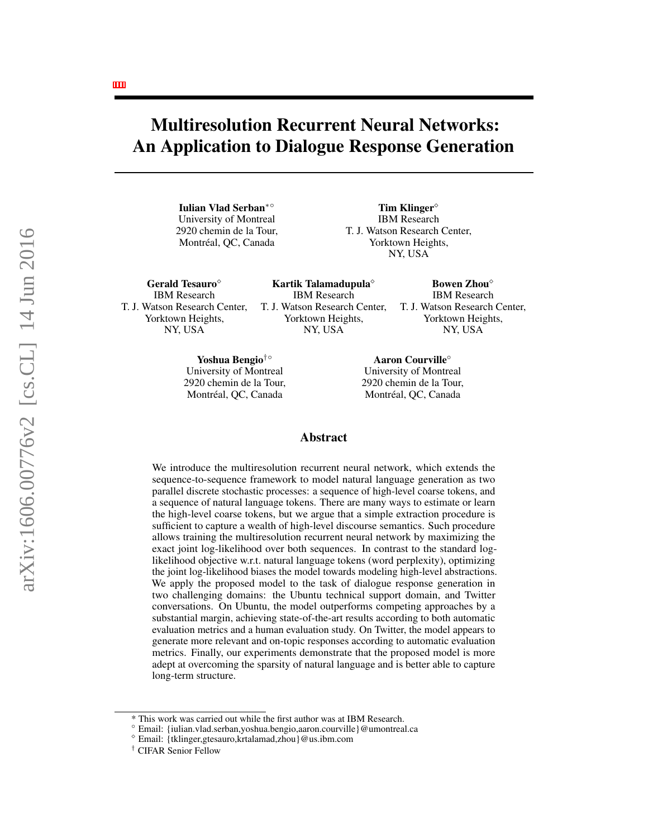# Multiresolution Recurrent Neural Networks: An Application to Dialogue Response Generation

Iulian Vlad Serban∗◦ University of Montreal 2920 chemin de la Tour, Montréal, QC, Canada

Tim Klinger IBM Research T. J. Watson Research Center, Yorktown Heights, NY, USA

Gerald Tesauro IBM Research T. J. Watson Research Center, Yorktown Heights, NY, USA

Kartik Talamadupula IBM Research T. J. Watson Research Center, Yorktown Heights, NY, USA

Bowen Zhou IBM Research T. J. Watson Research Center, Yorktown Heights, NY, USA

Yoshua Bengio†◦ University of Montreal 2920 chemin de la Tour, Montréal, QC, Canada

Aaron Courville◦ University of Montreal 2920 chemin de la Tour, Montréal, QC, Canada

### Abstract

We introduce the multiresolution recurrent neural network, which extends the sequence-to-sequence framework to model natural language generation as two parallel discrete stochastic processes: a sequence of high-level coarse tokens, and a sequence of natural language tokens. There are many ways to estimate or learn the high-level coarse tokens, but we argue that a simple extraction procedure is sufficient to capture a wealth of high-level discourse semantics. Such procedure allows training the multiresolution recurrent neural network by maximizing the exact joint log-likelihood over both sequences. In contrast to the standard loglikelihood objective w.r.t. natural language tokens (word perplexity), optimizing the joint log-likelihood biases the model towards modeling high-level abstractions. We apply the proposed model to the task of dialogue response generation in two challenging domains: the Ubuntu technical support domain, and Twitter conversations. On Ubuntu, the model outperforms competing approaches by a substantial margin, achieving state-of-the-art results according to both automatic evaluation metrics and a human evaluation study. On Twitter, the model appears to generate more relevant and on-topic responses according to automatic evaluation metrics. Finally, our experiments demonstrate that the proposed model is more adept at overcoming the sparsity of natural language and is better able to capture long-term structure.

<sup>\*</sup> This work was carried out while the first author was at IBM Research.

<sup>◦</sup> Email: {iulian.vlad.serban,yoshua.bengio,aaron.courville}@umontreal.ca

Email: {tklinger,gtesauro,krtalamad,zhou}@us.ibm.com

<sup>†</sup> CIFAR Senior Fellow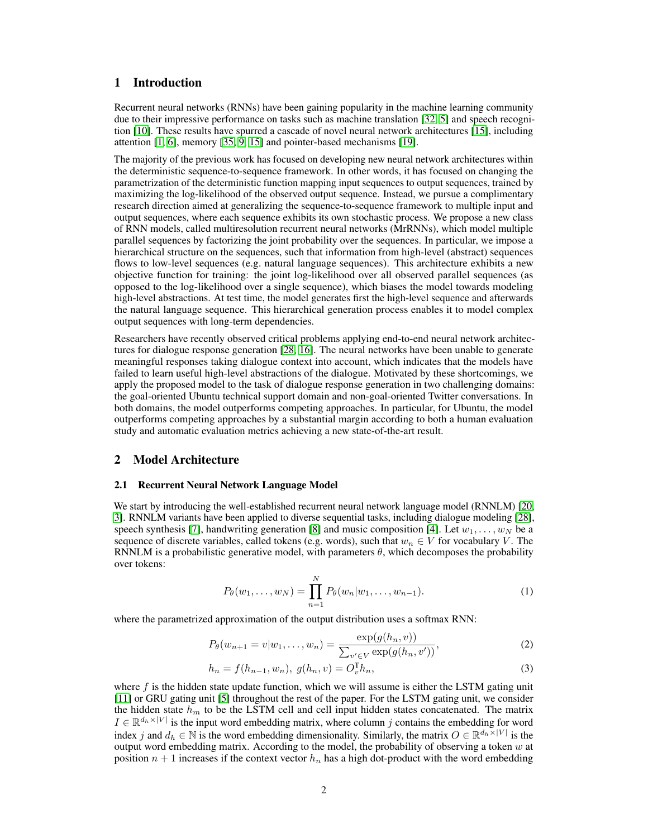# 1 Introduction

Recurrent neural networks (RNNs) have been gaining popularity in the machine learning community due to their impressive performance on tasks such as machine translation [\[32,](#page-10-0) [5\]](#page-9-0) and speech recognition [\[10\]](#page-9-1). These results have spurred a cascade of novel neural network architectures [\[15\]](#page-9-2), including attention [\[1,](#page-9-3) [6\]](#page-9-4), memory [\[35,](#page-10-1) [9,](#page-9-5) [15\]](#page-9-2) and pointer-based mechanisms [\[19\]](#page-9-6).

The majority of the previous work has focused on developing new neural network architectures within the deterministic sequence-to-sequence framework. In other words, it has focused on changing the parametrization of the deterministic function mapping input sequences to output sequences, trained by maximizing the log-likelihood of the observed output sequence. Instead, we pursue a complimentary research direction aimed at generalizing the sequence-to-sequence framework to multiple input and output sequences, where each sequence exhibits its own stochastic process. We propose a new class of RNN models, called multiresolution recurrent neural networks (MrRNNs), which model multiple parallel sequences by factorizing the joint probability over the sequences. In particular, we impose a hierarchical structure on the sequences, such that information from high-level (abstract) sequences flows to low-level sequences (e.g. natural language sequences). This architecture exhibits a new objective function for training: the joint log-likelihood over all observed parallel sequences (as opposed to the log-likelihood over a single sequence), which biases the model towards modeling high-level abstractions. At test time, the model generates first the high-level sequence and afterwards the natural language sequence. This hierarchical generation process enables it to model complex output sequences with long-term dependencies.

Researchers have recently observed critical problems applying end-to-end neural network architectures for dialogue response generation [\[28,](#page-9-7) [16\]](#page-9-8). The neural networks have been unable to generate meaningful responses taking dialogue context into account, which indicates that the models have failed to learn useful high-level abstractions of the dialogue. Motivated by these shortcomings, we apply the proposed model to the task of dialogue response generation in two challenging domains: the goal-oriented Ubuntu technical support domain and non-goal-oriented Twitter conversations. In both domains, the model outperforms competing approaches. In particular, for Ubuntu, the model outperforms competing approaches by a substantial margin according to both a human evaluation study and automatic evaluation metrics achieving a new state-of-the-art result.

### 2 Model Architecture

#### 2.1 Recurrent Neural Network Language Model

We start by introducing the well-established recurrent neural network language model (RNNLM) [\[20,](#page-9-9) [3\]](#page-9-10). RNNLM variants have been applied to diverse sequential tasks, including dialogue modeling [\[28\]](#page-9-7), speech synthesis [\[7\]](#page-9-11), handwriting generation [\[8\]](#page-9-12) and music composition [\[4\]](#page-9-13). Let  $w_1, \ldots, w_N$  be a sequence of discrete variables, called tokens (e.g. words), such that  $w_n \in V$  for vocabulary V. The RNNLM is a probabilistic generative model, with parameters  $\theta$ , which decomposes the probability over tokens:

$$
P_{\theta}(w_1, \dots, w_N) = \prod_{n=1}^{N} P_{\theta}(w_n | w_1, \dots, w_{n-1}).
$$
\n(1)

where the parametrized approximation of the output distribution uses a softmax RNN:

$$
P_{\theta}(w_{n+1} = v | w_1, \dots, w_n) = \frac{\exp(g(h_n, v))}{\sum_{v' \in V} \exp(g(h_n, v'))},
$$
\n(2)

$$
h_n = f(h_{n-1}, w_n), \ g(h_n, v) = O_v^{\mathrm{T}} h_n,\tag{3}
$$

where  $f$  is the hidden state update function, which we will assume is either the LSTM gating unit [\[11\]](#page-9-14) or GRU gating unit [\[5\]](#page-9-0) throughout the rest of the paper. For the LSTM gating unit, we consider the hidden state  $h_m$  to be the LSTM cell and cell input hidden states concatenated. The matrix  $I \in \mathbb{R}^{d_h \times |V|}$  is the input word embedding matrix, where column j contains the embedding for word index j and  $d_h \in \mathbb{N}$  is the word embedding dimensionality. Similarly, the matrix  $O \in \mathbb{R}^{d_h \times |V|}$  is the output word embedding matrix. According to the model, the probability of observing a token  $w$  at position  $n + 1$  increases if the context vector  $h_n$  has a high dot-product with the word embedding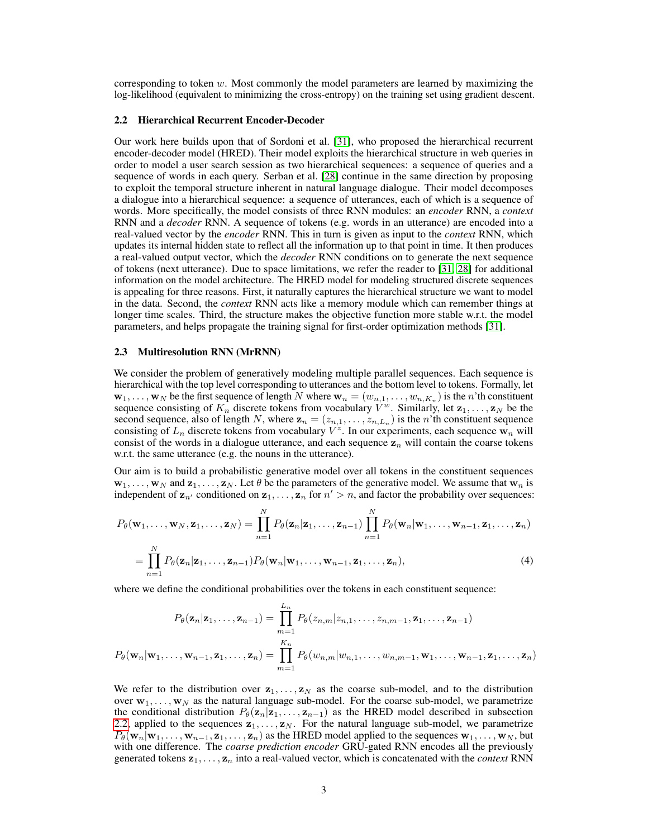corresponding to token  $w$ . Most commonly the model parameters are learned by maximizing the log-likelihood (equivalent to minimizing the cross-entropy) on the training set using gradient descent.

#### <span id="page-2-0"></span>2.2 Hierarchical Recurrent Encoder-Decoder

Our work here builds upon that of Sordoni et al. [\[31\]](#page-10-2), who proposed the hierarchical recurrent encoder-decoder model (HRED). Their model exploits the hierarchical structure in web queries in order to model a user search session as two hierarchical sequences: a sequence of queries and a sequence of words in each query. Serban et al. [\[28\]](#page-9-7) continue in the same direction by proposing to exploit the temporal structure inherent in natural language dialogue. Their model decomposes a dialogue into a hierarchical sequence: a sequence of utterances, each of which is a sequence of words. More specifically, the model consists of three RNN modules: an *encoder* RNN, a *context* RNN and a *decoder* RNN. A sequence of tokens (e.g. words in an utterance) are encoded into a real-valued vector by the *encoder* RNN. This in turn is given as input to the *context* RNN, which updates its internal hidden state to reflect all the information up to that point in time. It then produces a real-valued output vector, which the *decoder* RNN conditions on to generate the next sequence of tokens (next utterance). Due to space limitations, we refer the reader to [\[31,](#page-10-2) [28\]](#page-9-7) for additional information on the model architecture. The HRED model for modeling structured discrete sequences is appealing for three reasons. First, it naturally captures the hierarchical structure we want to model in the data. Second, the *context* RNN acts like a memory module which can remember things at longer time scales. Third, the structure makes the objective function more stable w.r.t. the model parameters, and helps propagate the training signal for first-order optimization methods [\[31\]](#page-10-2).

#### 2.3 Multiresolution RNN (MrRNN)

We consider the problem of generatively modeling multiple parallel sequences. Each sequence is hierarchical with the top level corresponding to utterances and the bottom level to tokens. Formally, let  $w_1, \ldots, w_N$  be the first sequence of length N where  $w_n = (w_{n,1}, \ldots, w_{n,K_n})$  is the n'th constituent sequence consisting of  $K_n$  discrete tokens from vocabulary  $V^w$ . Similarly, let  $\mathbf{z}_1, \ldots, \mathbf{z}_N$  be the second sequence, also of length N, where  $z_n = (z_{n,1}, \ldots, z_{n,L_n})$  is the n'th constituent sequence consisting of  $L_n$  discrete tokens from vocabulary  $V^z$ . In our experiments, each sequence  $\mathbf{w}_n$  will consist of the words in a dialogue utterance, and each sequence  $z_n$  will contain the coarse tokens w.r.t. the same utterance (e.g. the nouns in the utterance).

Our aim is to build a probabilistic generative model over all tokens in the constituent sequences  $w_1, \ldots, w_N$  and  $z_1, \ldots, z_N$ . Let  $\theta$  be the parameters of the generative model. We assume that  $w_n$  is independent of  $z_{n'}$  conditioned on  $z_1, \ldots, z_n$  for  $n' > n$ , and factor the probability over sequences:

$$
P_{\theta}(\mathbf{w}_1,\ldots,\mathbf{w}_N,\mathbf{z}_1,\ldots,\mathbf{z}_N) = \prod_{n=1}^N P_{\theta}(\mathbf{z}_n|\mathbf{z}_1,\ldots,\mathbf{z}_{n-1}) \prod_{n=1}^N P_{\theta}(\mathbf{w}_n|\mathbf{w}_1,\ldots,\mathbf{w}_{n-1},\mathbf{z}_1,\ldots,\mathbf{z}_n)
$$
  
= 
$$
\prod_{n=1}^N P_{\theta}(\mathbf{z}_n|\mathbf{z}_1,\ldots,\mathbf{z}_{n-1}) P_{\theta}(\mathbf{w}_n|\mathbf{w}_1,\ldots,\mathbf{w}_{n-1},\mathbf{z}_1,\ldots,\mathbf{z}_n),
$$
 (4)

where we define the conditional probabilities over the tokens in each constituent sequence:

$$
P_{\theta}(\mathbf{z}_n|\mathbf{z}_1,\ldots,\mathbf{z}_{n-1}) = \prod_{m=1}^{L_n} P_{\theta}(z_{n,m}|z_{n,1},\ldots,z_{n,m-1},\mathbf{z}_1,\ldots,\mathbf{z}_{n-1})
$$

$$
P_{\theta}(\mathbf{w}_n|\mathbf{w}_1,\ldots,\mathbf{w}_{n-1},\mathbf{z}_1,\ldots,\mathbf{z}_n) = \prod_{m=1}^{K_n} P_{\theta}(w_{n,m}|w_{n,1},\ldots,w_{n,m-1},\mathbf{w}_1,\ldots,\mathbf{w}_{n-1},\mathbf{z}_1,\ldots,\mathbf{z}_n)
$$

We refer to the distribution over  $z_1, \ldots, z_N$  as the coarse sub-model, and to the distribution over  $w_1, \ldots, w_N$  as the natural language sub-model. For the coarse sub-model, we parametrize the conditional distribution  $P_{\theta}(\mathbf{z}_n|\mathbf{z}_1,\dots,\mathbf{z}_{n-1})$  as the HRED model described in subsection [2.2,](#page-2-0) applied to the sequences  $z_1, \ldots, z_N$ . For the natural language sub-model, we parametrize  $P_{\theta}(\mathbf{w}_n|\mathbf{w}_1,\dots,\mathbf{w}_{n-1},\mathbf{z}_1,\dots,\mathbf{z}_n)$  as the HRED model applied to the sequences  $\mathbf{w}_1,\dots,\mathbf{w}_N$ , but with one difference. The *coarse prediction encoder* GRU-gated RNN encodes all the previously generated tokens  $z_1, \ldots, z_n$  into a real-valued vector, which is concatenated with the *context* RNN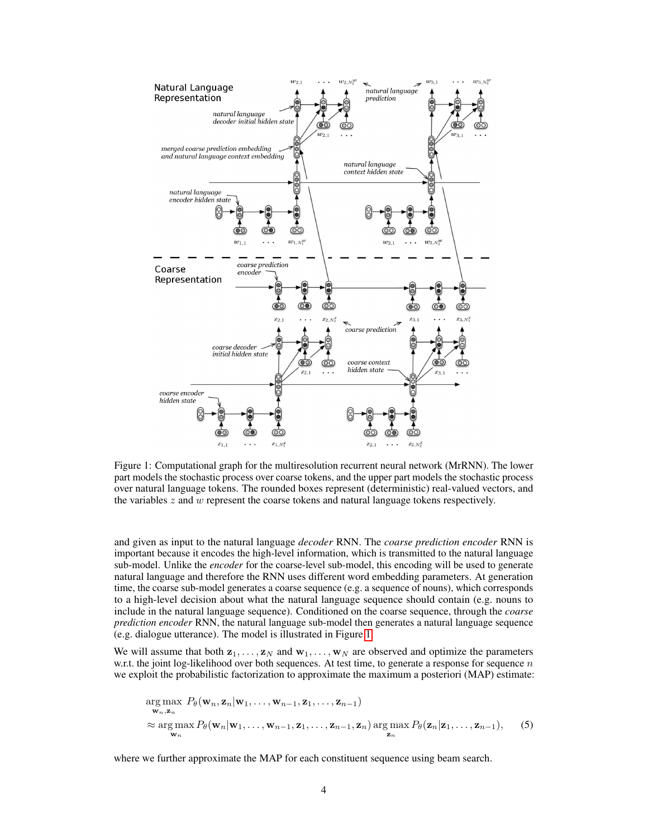

<span id="page-3-0"></span>Figure 1: Computational graph for the multiresolution recurrent neural network (MrRNN). The lower part models the stochastic process over coarse tokens, and the upper part models the stochastic process over natural language tokens. The rounded boxes represent (deterministic) real-valued vectors, and the variables  $z$  and  $w$  represent the coarse tokens and natural language tokens respectively.

and given as input to the natural language *decoder* RNN. The *coarse prediction encoder* RNN is important because it encodes the high-level information, which is transmitted to the natural language sub-model. Unlike the *encoder* for the coarse-level sub-model, this encoding will be used to generate natural language and therefore the RNN uses different word embedding parameters. At generation time, the coarse sub-model generates a coarse sequence (e.g. a sequence of nouns), which corresponds to a high-level decision about what the natural language sequence should contain (e.g. nouns to include in the natural language sequence). Conditioned on the coarse sequence, through the *coarse prediction encoder* RNN, the natural language sub-model then generates a natural language sequence (e.g. dialogue utterance). The model is illustrated in Figure [1.](#page-3-0)

We will assume that both  $z_1, \ldots, z_N$  and  $w_1, \ldots, w_N$  are observed and optimize the parameters w.r.t. the joint log-likelihood over both sequences. At test time, to generate a response for sequence  $n$ we exploit the probabilistic factorization to approximate the maximum a posteriori (MAP) estimate:

$$
\arg \max_{\mathbf{w}_n, \mathbf{z}_n} P_{\theta}(\mathbf{w}_n, \mathbf{z}_n | \mathbf{w}_1, \dots, \mathbf{w}_{n-1}, \mathbf{z}_1, \dots, \mathbf{z}_{n-1})
$$
  
\n
$$
\approx \arg \max_{\mathbf{w}_n} P_{\theta}(\mathbf{w}_n | \mathbf{w}_1, \dots, \mathbf{w}_{n-1}, \mathbf{z}_1, \dots, \mathbf{z}_{n-1}, \mathbf{z}_n) \arg \max_{\mathbf{z}_n} P_{\theta}(\mathbf{z}_n | \mathbf{z}_1, \dots, \mathbf{z}_{n-1}), \quad (5)
$$

where we further approximate the MAP for each constituent sequence using beam search.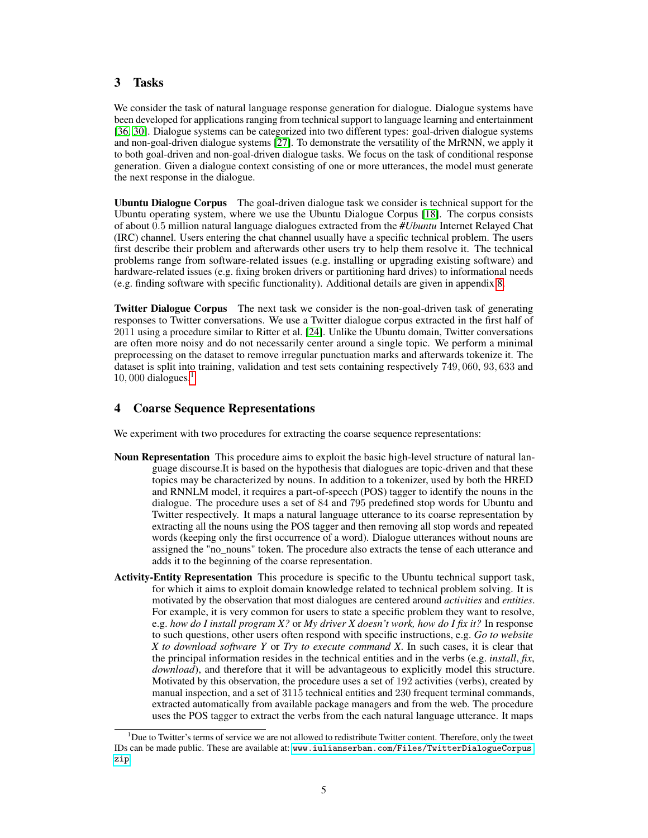# 3 Tasks

We consider the task of natural language response generation for dialogue. Dialogue systems have been developed for applications ranging from technical support to language learning and entertainment [\[36,](#page-10-3) [30\]](#page-10-4). Dialogue systems can be categorized into two different types: goal-driven dialogue systems and non-goal-driven dialogue systems [\[27\]](#page-9-15). To demonstrate the versatility of the MrRNN, we apply it to both goal-driven and non-goal-driven dialogue tasks. We focus on the task of conditional response generation. Given a dialogue context consisting of one or more utterances, the model must generate the next response in the dialogue.

Ubuntu Dialogue Corpus The goal-driven dialogue task we consider is technical support for the Ubuntu operating system, where we use the Ubuntu Dialogue Corpus [\[18\]](#page-9-16). The corpus consists of about 0.5 million natural language dialogues extracted from the *#Ubuntu* Internet Relayed Chat (IRC) channel. Users entering the chat channel usually have a specific technical problem. The users first describe their problem and afterwards other users try to help them resolve it. The technical problems range from software-related issues (e.g. installing or upgrading existing software) and hardware-related issues (e.g. fixing broken drivers or partitioning hard drives) to informational needs (e.g. finding software with specific functionality). Additional details are given in appendix [8.](#page-11-0)

Twitter Dialogue Corpus The next task we consider is the non-goal-driven task of generating responses to Twitter conversations. We use a Twitter dialogue corpus extracted in the first half of 2011 using a procedure similar to Ritter et al. [\[24\]](#page-9-17). Unlike the Ubuntu domain, Twitter conversations are often more noisy and do not necessarily center around a single topic. We perform a minimal preprocessing on the dataset to remove irregular punctuation marks and afterwards tokenize it. The dataset is split into training, validation and test sets containing respectively 749, 060, 93, 633 and  $10,000$  $10,000$  dialogues.<sup>1</sup>

# <span id="page-4-1"></span>4 Coarse Sequence Representations

We experiment with two procedures for extracting the coarse sequence representations:

- Noun Representation This procedure aims to exploit the basic high-level structure of natural language discourse.It is based on the hypothesis that dialogues are topic-driven and that these topics may be characterized by nouns. In addition to a tokenizer, used by both the HRED and RNNLM model, it requires a part-of-speech (POS) tagger to identify the nouns in the dialogue. The procedure uses a set of 84 and 795 predefined stop words for Ubuntu and Twitter respectively. It maps a natural language utterance to its coarse representation by extracting all the nouns using the POS tagger and then removing all stop words and repeated words (keeping only the first occurrence of a word). Dialogue utterances without nouns are assigned the "no\_nouns" token. The procedure also extracts the tense of each utterance and adds it to the beginning of the coarse representation.
- Activity-Entity Representation This procedure is specific to the Ubuntu technical support task, for which it aims to exploit domain knowledge related to technical problem solving. It is motivated by the observation that most dialogues are centered around *activities* and *entities*. For example, it is very common for users to state a specific problem they want to resolve, e.g. *how do I install program X?* or *My driver X doesn't work, how do I fix it?* In response to such questions, other users often respond with specific instructions, e.g. *Go to website X to download software Y* or *Try to execute command X*. In such cases, it is clear that the principal information resides in the technical entities and in the verbs (e.g. *install*, *fix*, *download*), and therefore that it will be advantageous to explicitly model this structure. Motivated by this observation, the procedure uses a set of 192 activities (verbs), created by manual inspection, and a set of 3115 technical entities and 230 frequent terminal commands, extracted automatically from available package managers and from the web. The procedure uses the POS tagger to extract the verbs from the each natural language utterance. It maps

<span id="page-4-0"></span> $1$ Due to Twitter's terms of service we are not allowed to redistribute Twitter content. Therefore, only the tweet IDs can be made public. These are available at: [www.iulianserban.com/Files/TwitterDialogueCorpus.](www.iulianserban.com/Files/TwitterDialogueCorpus.zip) [zip](www.iulianserban.com/Files/TwitterDialogueCorpus.zip).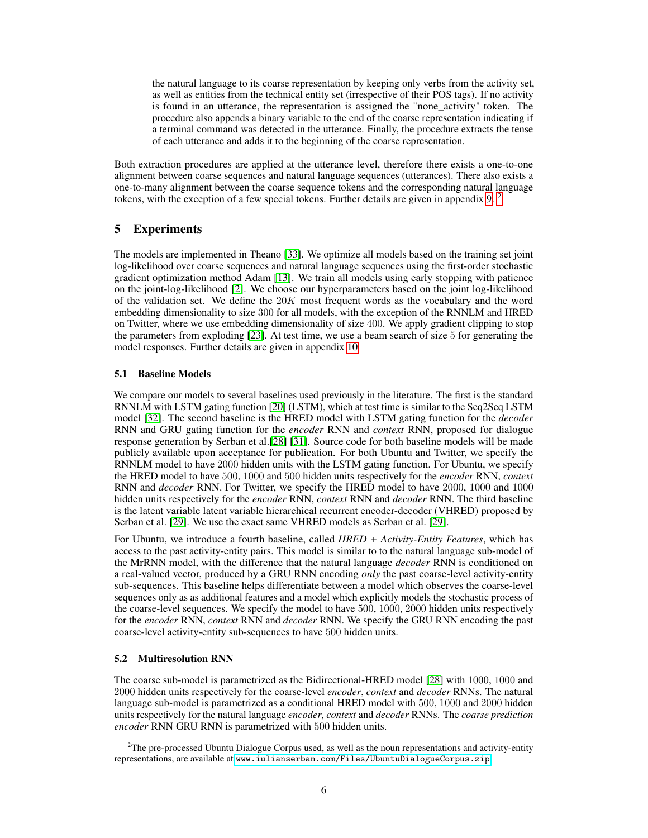the natural language to its coarse representation by keeping only verbs from the activity set, as well as entities from the technical entity set (irrespective of their POS tags). If no activity is found in an utterance, the representation is assigned the "none\_activity" token. The procedure also appends a binary variable to the end of the coarse representation indicating if a terminal command was detected in the utterance. Finally, the procedure extracts the tense of each utterance and adds it to the beginning of the coarse representation.

Both extraction procedures are applied at the utterance level, therefore there exists a one-to-one alignment between coarse sequences and natural language sequences (utterances). There also exists a one-to-many alignment between the coarse sequence tokens and the corresponding natural language tokens, with the exception of a few special tokens. Further details are given in appendix [9.](#page-11-1)  $^{2}$  $^{2}$  $^{2}$ 

# 5 Experiments

The models are implemented in Theano [\[33\]](#page-10-5). We optimize all models based on the training set joint log-likelihood over coarse sequences and natural language sequences using the first-order stochastic gradient optimization method Adam [\[13\]](#page-9-18). We train all models using early stopping with patience on the joint-log-likelihood [\[2\]](#page-9-19). We choose our hyperparameters based on the joint log-likelihood of the validation set. We define the  $20K$  most frequent words as the vocabulary and the word embedding dimensionality to size 300 for all models, with the exception of the RNNLM and HRED on Twitter, where we use embedding dimensionality of size 400. We apply gradient clipping to stop the parameters from exploding [\[23\]](#page-9-20). At test time, we use a beam search of size 5 for generating the model responses. Further details are given in appendix [10](#page-17-0)

### 5.1 Baseline Models

We compare our models to several baselines used previously in the literature. The first is the standard RNNLM with LSTM gating function [\[20\]](#page-9-9) (LSTM), which at test time is similar to the Seq2Seq LSTM model [\[32\]](#page-10-0). The second baseline is the HRED model with LSTM gating function for the *decoder* RNN and GRU gating function for the *encoder* RNN and *context* RNN, proposed for dialogue response generation by Serban et al.[\[28\]](#page-9-7) [\[31\]](#page-10-2). Source code for both baseline models will be made publicly available upon acceptance for publication. For both Ubuntu and Twitter, we specify the RNNLM model to have 2000 hidden units with the LSTM gating function. For Ubuntu, we specify the HRED model to have 500, 1000 and 500 hidden units respectively for the *encoder* RNN, *context* RNN and *decoder* RNN. For Twitter, we specify the HRED model to have 2000, 1000 and 1000 hidden units respectively for the *encoder* RNN, *context* RNN and *decoder* RNN. The third baseline is the latent variable latent variable hierarchical recurrent encoder-decoder (VHRED) proposed by Serban et al. [\[29\]](#page-9-21). We use the exact same VHRED models as Serban et al. [\[29\]](#page-9-21).

For Ubuntu, we introduce a fourth baseline, called *HRED + Activity-Entity Features*, which has access to the past activity-entity pairs. This model is similar to to the natural language sub-model of the MrRNN model, with the difference that the natural language *decoder* RNN is conditioned on a real-valued vector, produced by a GRU RNN encoding *only* the past coarse-level activity-entity sub-sequences. This baseline helps differentiate between a model which observes the coarse-level sequences only as as additional features and a model which explicitly models the stochastic process of the coarse-level sequences. We specify the model to have 500, 1000, 2000 hidden units respectively for the *encoder* RNN, *context* RNN and *decoder* RNN. We specify the GRU RNN encoding the past coarse-level activity-entity sub-sequences to have 500 hidden units.

### 5.2 Multiresolution RNN

The coarse sub-model is parametrized as the Bidirectional-HRED model [\[28\]](#page-9-7) with 1000, 1000 and 2000 hidden units respectively for the coarse-level *encoder*, *context* and *decoder* RNNs. The natural language sub-model is parametrized as a conditional HRED model with 500, 1000 and 2000 hidden units respectively for the natural language *encoder*, *context* and *decoder* RNNs. The *coarse prediction encoder* RNN GRU RNN is parametrized with 500 hidden units.

<span id="page-5-0"></span><sup>&</sup>lt;sup>2</sup>The pre-processed Ubuntu Dialogue Corpus used, as well as the noun representations and activity-entity representations, are available at <www.iulianserban.com/Files/UbuntuDialogueCorpus.zip>.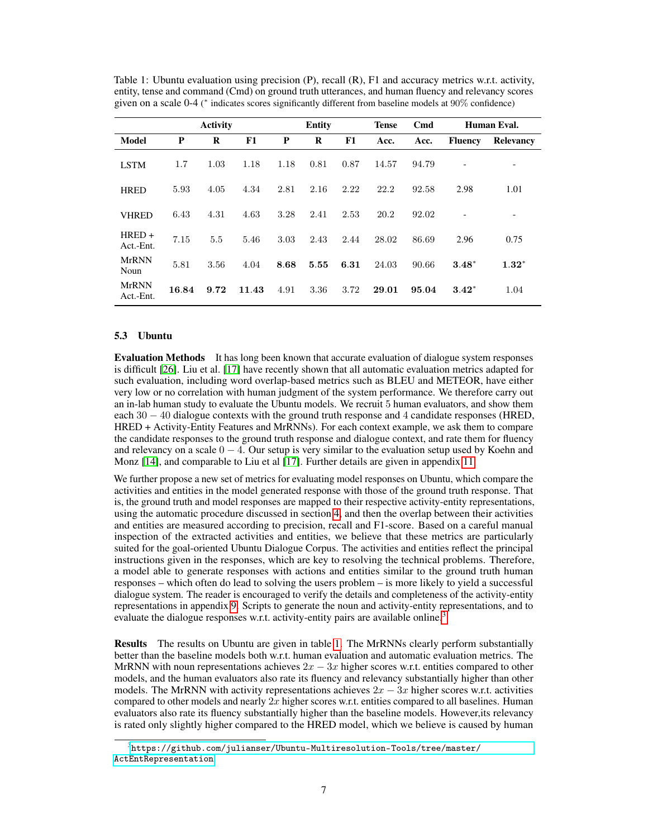|                           |       | <b>Activity</b> |       |      | <b>Entity</b> |      | <b>Tense</b> | C <sub>md</sub> |                          | Human Eval. |
|---------------------------|-------|-----------------|-------|------|---------------|------|--------------|-----------------|--------------------------|-------------|
| <b>Model</b>              | P     | R               | F1    | P    | R             | F1   | Acc.         | Acc.            | <b>Fluency</b>           | Relevancy   |
| <b>LSTM</b>               | 1.7   | 1.03            | 1.18  | 1.18 | 0.81          | 0.87 | 14.57        | 94.79           | $\overline{\phantom{a}}$ | -           |
| <b>HRED</b>               | 5.93  | 4.05            | 4.34  | 2.81 | 2.16          | 2.22 | 22.2         | 92.58           | 2.98                     | 1.01        |
| <b>VHRED</b>              | 6.43  | 4.31            | 4.63  | 3.28 | 2.41          | 2.53 | 20.2         | 92.02           | $\overline{\phantom{a}}$ | -           |
| $HRED +$<br>Act.-Ent.     | 7.15  | 5.5             | 5.46  | 3.03 | 2.43          | 2.44 | 28.02        | 86.69           | 2.96                     | 0.75        |
| <b>MrRNN</b><br>Noun      | 5.81  | 3.56            | 4.04  | 8.68 | 5.55          | 6.31 | 24.03        | 90.66           | $3.48*$                  | $1.32*$     |
| <b>MrRNN</b><br>Act.-Ent. | 16.84 | 9.72            | 11.43 | 4.91 | 3.36          | 3.72 | 29.01        | 95.04           | $3.42*$                  | 1.04        |

<span id="page-6-1"></span>Table 1: Ubuntu evaluation using precision (P), recall (R), F1 and accuracy metrics w.r.t. activity, entity, tense and command (Cmd) on ground truth utterances, and human fluency and relevancy scores given on a scale 0-4 (\* indicates scores significantly different from baseline models at 90% confidence)

### 5.3 Ubuntu

**Evaluation Methods** It has long been known that accurate evaluation of dialogue system responses is difficult [\[26\]](#page-9-22). Liu et al. [\[17\]](#page-9-23) have recently shown that all automatic evaluation metrics adapted for such evaluation, including word overlap-based metrics such as BLEU and METEOR, have either very low or no correlation with human judgment of the system performance. We therefore carry out an in-lab human study to evaluate the Ubuntu models. We recruit 5 human evaluators, and show them each 30 − 40 dialogue contexts with the ground truth response and 4 candidate responses (HRED, HRED + Activity-Entity Features and MrRNNs). For each context example, we ask them to compare the candidate responses to the ground truth response and dialogue context, and rate them for fluency and relevancy on a scale  $0 - 4$ . Our setup is very similar to the evaluation setup used by Koehn and Monz [\[14\]](#page-9-24), and comparable to Liu et al [\[17\]](#page-9-23). Further details are given in appendix [11.](#page-17-1)

We further propose a new set of metrics for evaluating model responses on Ubuntu, which compare the activities and entities in the model generated response with those of the ground truth response. That is, the ground truth and model responses are mapped to their respective activity-entity representations, using the automatic procedure discussed in section [4,](#page-4-1) and then the overlap between their activities and entities are measured according to precision, recall and F1-score. Based on a careful manual inspection of the extracted activities and entities, we believe that these metrics are particularly suited for the goal-oriented Ubuntu Dialogue Corpus. The activities and entities reflect the principal instructions given in the responses, which are key to resolving the technical problems. Therefore, a model able to generate responses with actions and entities similar to the ground truth human responses – which often do lead to solving the users problem – is more likely to yield a successful dialogue system. The reader is encouraged to verify the details and completeness of the activity-entity representations in appendix [9.](#page-11-1) Scripts to generate the noun and activity-entity representations, and to evaluate the dialogue responses w.r.t. activity-entity pairs are available online.<sup>[3](#page-6-0)</sup>

Results The results on Ubuntu are given in table [1.](#page-6-1) The MrRNNs clearly perform substantially better than the baseline models both w.r.t. human evaluation and automatic evaluation metrics. The MrRNN with noun representations achieves  $2x - 3x$  higher scores w.r.t. entities compared to other models, and the human evaluators also rate its fluency and relevancy substantially higher than other models. The MrRNN with activity representations achieves  $2x - 3x$  higher scores w.r.t. activities compared to other models and nearly  $2x$  higher scores w.r.t. entities compared to all baselines. Human evaluators also rate its fluency substantially higher than the baseline models. However,its relevancy is rated only slightly higher compared to the HRED model, which we believe is caused by human

<span id="page-6-0"></span> $^3$ [https://github.com/julianser/Ubuntu-Multiresolution-Tools/tree/master/](https://github.com/julianser/Ubuntu-Multiresolution-Tools/tree/master/ActEntRepresentation) [ActEntRepresentation](https://github.com/julianser/Ubuntu-Multiresolution-Tools/tree/master/ActEntRepresentation).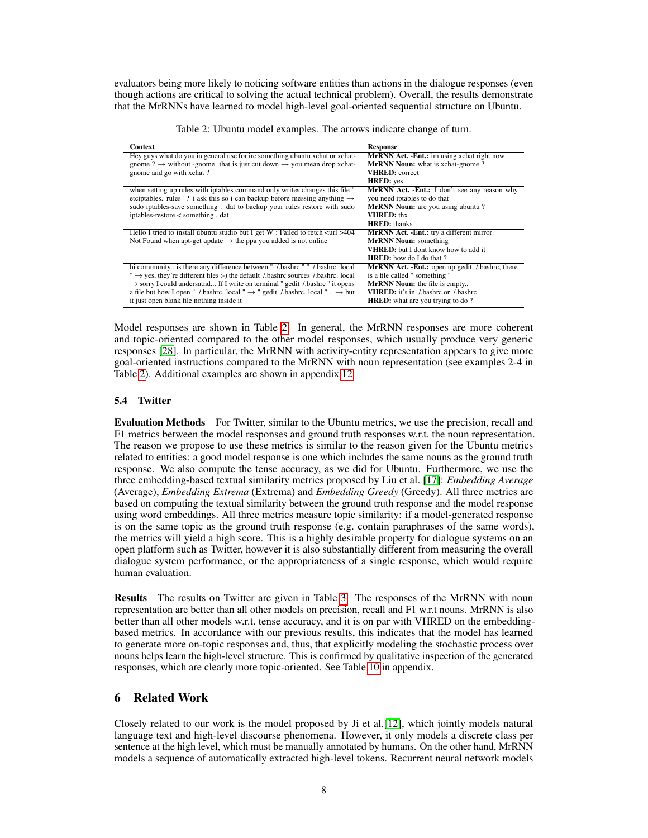evaluators being more likely to noticing software entities than actions in the dialogue responses (even though actions are critical to solving the actual technical problem). Overall, the results demonstrate that the MrRNNs have learned to model high-level goal-oriented sequential structure on Ubuntu.

| <b>Context</b>                                                                                      | <b>Response</b>                                                |
|-----------------------------------------------------------------------------------------------------|----------------------------------------------------------------|
| Hey guys what do you in general use for irc something ubuntu xchat or xchat-                        | MrRNN Act. - Ent.: im using xchat right now                    |
| gnome ? $\rightarrow$ without -gnome. that is just cut down $\rightarrow$ you mean drop xchat-      | <b>MrRNN Noun:</b> what is xchat-gnome?                        |
| gnome and go with xchat?                                                                            | <b>VHRED</b> : correct                                         |
|                                                                                                     | <b>HRED</b> : yes                                              |
| when setting up rules with iptables command only writes changes this file "                         | MrRNN Act. - Ent.: I don't see any reason why                  |
| etciptables. rules "? i ask this so i can backup before messing anything $\rightarrow$              | you need iptables to do that                                   |
| sudo iptables-save something. dat to backup your rules restore with sudo                            | <b>MrRNN Noun:</b> are you using ubuntu?                       |
| iptables-restore < something . dat                                                                  | <b>VHRED:</b> thx                                              |
|                                                                                                     | <b>HRED</b> : thanks                                           |
| Hello I tried to install ubuntu studio but I get $W$ : Failed to fetch $\langle$ url >404           | MrRNN Act. - Ent.: try a different mirror                      |
| Not Found when apt-get update $\rightarrow$ the ppa you added is not online                         | <b>MrRNN Noun:</b> something                                   |
|                                                                                                     | <b>VHRED:</b> but I dont know how to add it                    |
|                                                                                                     | <b>HRED:</b> how do I do that?                                 |
| hi community is there any difference between " /.bashrc " " /.bashrc. local                         | <b>MrRNN Act.</b> - <b>Ent.:</b> open up gedit /.bashrc, there |
| " $\rightarrow$ yes, they're different files :-) the default /.bashrc sources /.bashrc. local       | is a file called " something "                                 |
| $\rightarrow$ sorry I could undersatid If I write on terminal " gedit / bashrc " it opens           | <b>MrRNN Noun:</b> the file is empty                           |
| a file but how I open " /.bashrc. local " $\rightarrow$ " gedit /.bashrc. local " $\rightarrow$ but | <b>VHRED:</b> it's in / bashrc or / bashrc                     |
| it just open blank file nothing inside it                                                           | <b>HRED:</b> what are you trying to do?                        |

<span id="page-7-0"></span>Table 2: Ubuntu model examples. The arrows indicate change of turn.

Model responses are shown in Table [2.](#page-7-0) In general, the MrRNN responses are more coherent and topic-oriented compared to the other model responses, which usually produce very generic responses [\[28\]](#page-9-7). In particular, the MrRNN with activity-entity representation appears to give more goal-oriented instructions compared to the MrRNN with noun representation (see examples 2-4 in Table [2\)](#page-7-0). Additional examples are shown in appendix [12.](#page-18-0)

### 5.4 Twitter

Evaluation Methods For Twitter, similar to the Ubuntu metrics, we use the precision, recall and F1 metrics between the model responses and ground truth responses w.r.t. the noun representation. The reason we propose to use these metrics is similar to the reason given for the Ubuntu metrics related to entities: a good model response is one which includes the same nouns as the ground truth response. We also compute the tense accuracy, as we did for Ubuntu. Furthermore, we use the three embedding-based textual similarity metrics proposed by Liu et al. [\[17\]](#page-9-23): *Embedding Average* (Average), *Embedding Extrema* (Extrema) and *Embedding Greedy* (Greedy). All three metrics are based on computing the textual similarity between the ground truth response and the model response using word embeddings. All three metrics measure topic similarity: if a model-generated response is on the same topic as the ground truth response (e.g. contain paraphrases of the same words), the metrics will yield a high score. This is a highly desirable property for dialogue systems on an open platform such as Twitter, however it is also substantially different from measuring the overall dialogue system performance, or the appropriateness of a single response, which would require human evaluation.

Results The results on Twitter are given in Table [3.](#page-8-0) The responses of the MrRNN with noun representation are better than all other models on precision, recall and F1 w.r.t nouns. MrRNN is also better than all other models w.r.t. tense accuracy, and it is on par with VHRED on the embeddingbased metrics. In accordance with our previous results, this indicates that the model has learned to generate more on-topic responses and, thus, that explicitly modeling the stochastic process over nouns helps learn the high-level structure. This is confirmed by qualitative inspection of the generated responses, which are clearly more topic-oriented. See Table [10](#page-20-0) in appendix.

# 6 Related Work

Closely related to our work is the model proposed by Ji et al.[\[12\]](#page-9-25), which jointly models natural language text and high-level discourse phenomena. However, it only models a discrete class per sentence at the high level, which must be manually annotated by humans. On the other hand, MrRNN models a sequence of automatically extracted high-level tokens. Recurrent neural network models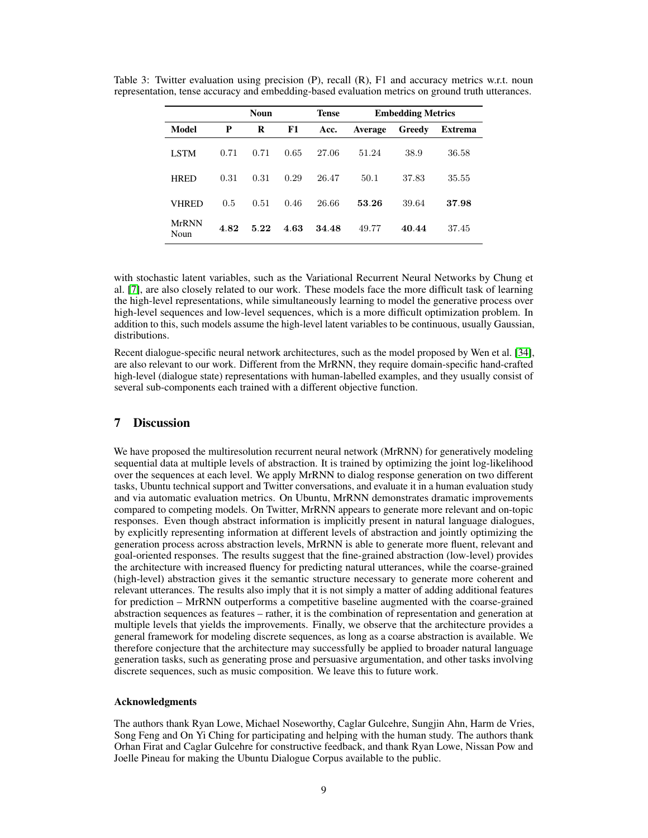<span id="page-8-0"></span>

|                             |      | <b>Noun</b> |      | <b>Tense</b> |         | <b>Embedding Metrics</b> |                |
|-----------------------------|------|-------------|------|--------------|---------|--------------------------|----------------|
| Model                       | P    | R           | F1   | Acc.         | Average | Greedy                   | <b>Extrema</b> |
| <b>LSTM</b>                 | 0.71 | 0.71        | 0.65 | 27.06        | 51.24   | 38.9                     | 36.58          |
| <b>HRED</b>                 | 0.31 | 0.31        | 0.29 | 26.47        | 50.1    | 37.83                    | 35.55          |
| <b>VHRED</b>                | 0.5  | 0.51        | 0.46 | 26.66        | 53.26   | 39.64                    | 37.98          |
| <b>MrRNN</b><br><b>Noun</b> | 4.82 | 5.22        | 4.63 | 34.48        | 49.77   | 40.44                    | 37.45          |

Table 3: Twitter evaluation using precision (P), recall (R), F1 and accuracy metrics w.r.t. noun representation, tense accuracy and embedding-based evaluation metrics on ground truth utterances.

with stochastic latent variables, such as the Variational Recurrent Neural Networks by Chung et al. [\[7\]](#page-9-11), are also closely related to our work. These models face the more difficult task of learning the high-level representations, while simultaneously learning to model the generative process over high-level sequences and low-level sequences, which is a more difficult optimization problem. In addition to this, such models assume the high-level latent variables to be continuous, usually Gaussian, distributions.

Recent dialogue-specific neural network architectures, such as the model proposed by Wen et al. [\[34\]](#page-10-6), are also relevant to our work. Different from the MrRNN, they require domain-specific hand-crafted high-level (dialogue state) representations with human-labelled examples, and they usually consist of several sub-components each trained with a different objective function.

# 7 Discussion

We have proposed the multiresolution recurrent neural network (MrRNN) for generatively modeling sequential data at multiple levels of abstraction. It is trained by optimizing the joint log-likelihood over the sequences at each level. We apply MrRNN to dialog response generation on two different tasks, Ubuntu technical support and Twitter conversations, and evaluate it in a human evaluation study and via automatic evaluation metrics. On Ubuntu, MrRNN demonstrates dramatic improvements compared to competing models. On Twitter, MrRNN appears to generate more relevant and on-topic responses. Even though abstract information is implicitly present in natural language dialogues, by explicitly representing information at different levels of abstraction and jointly optimizing the generation process across abstraction levels, MrRNN is able to generate more fluent, relevant and goal-oriented responses. The results suggest that the fine-grained abstraction (low-level) provides the architecture with increased fluency for predicting natural utterances, while the coarse-grained (high-level) abstraction gives it the semantic structure necessary to generate more coherent and relevant utterances. The results also imply that it is not simply a matter of adding additional features for prediction – MrRNN outperforms a competitive baseline augmented with the coarse-grained abstraction sequences as features – rather, it is the combination of representation and generation at multiple levels that yields the improvements. Finally, we observe that the architecture provides a general framework for modeling discrete sequences, as long as a coarse abstraction is available. We therefore conjecture that the architecture may successfully be applied to broader natural language generation tasks, such as generating prose and persuasive argumentation, and other tasks involving discrete sequences, such as music composition. We leave this to future work.

### Acknowledgments

The authors thank Ryan Lowe, Michael Noseworthy, Caglar Gulcehre, Sungjin Ahn, Harm de Vries, Song Feng and On Yi Ching for participating and helping with the human study. The authors thank Orhan Firat and Caglar Gulcehre for constructive feedback, and thank Ryan Lowe, Nissan Pow and Joelle Pineau for making the Ubuntu Dialogue Corpus available to the public.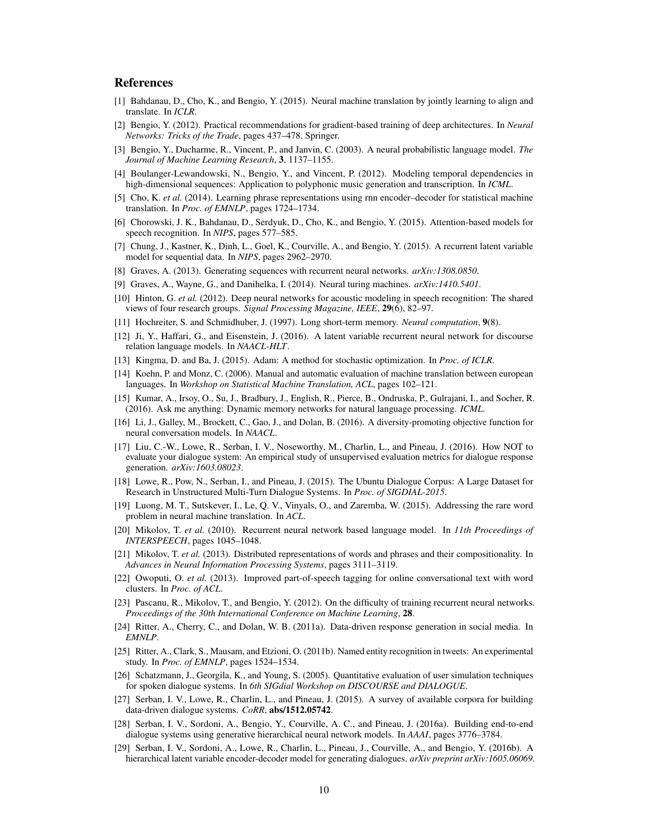### References

- <span id="page-9-3"></span>[1] Bahdanau, D., Cho, K., and Bengio, Y. (2015). Neural machine translation by jointly learning to align and translate. In *ICLR*.
- <span id="page-9-19"></span>[2] Bengio, Y. (2012). Practical recommendations for gradient-based training of deep architectures. In *Neural Networks: Tricks of the Trade*, pages 437–478. Springer.
- <span id="page-9-10"></span>[3] Bengio, Y., Ducharme, R., Vincent, P., and Janvin, C. (2003). A neural probabilistic language model. *The Journal of Machine Learning Research*, 3, 1137–1155.
- <span id="page-9-13"></span>[4] Boulanger-Lewandowski, N., Bengio, Y., and Vincent, P. (2012). Modeling temporal dependencies in high-dimensional sequences: Application to polyphonic music generation and transcription. In *ICML*.
- <span id="page-9-0"></span>[5] Cho, K. *et al.* (2014). Learning phrase representations using rnn encoder–decoder for statistical machine translation. In *Proc. of EMNLP*, pages 1724–1734.
- <span id="page-9-4"></span>[6] Chorowski, J. K., Bahdanau, D., Serdyuk, D., Cho, K., and Bengio, Y. (2015). Attention-based models for speech recognition. In *NIPS*, pages 577–585.
- <span id="page-9-11"></span>[7] Chung, J., Kastner, K., Dinh, L., Goel, K., Courville, A., and Bengio, Y. (2015). A recurrent latent variable model for sequential data. In *NIPS*, pages 2962–2970.
- <span id="page-9-12"></span>[8] Graves, A. (2013). Generating sequences with recurrent neural networks. *arXiv:1308.0850*.
- <span id="page-9-5"></span>[9] Graves, A., Wayne, G., and Danihelka, I. (2014). Neural turing machines. *arXiv:1410.5401*.
- <span id="page-9-1"></span>[10] Hinton, G. *et al.* (2012). Deep neural networks for acoustic modeling in speech recognition: The shared views of four research groups. *Signal Processing Magazine, IEEE*, 29(6), 82–97.
- <span id="page-9-14"></span>[11] Hochreiter, S. and Schmidhuber, J. (1997). Long short-term memory. *Neural computation*, 9(8).
- <span id="page-9-25"></span>[12] Ji, Y., Haffari, G., and Eisenstein, J. (2016). A latent variable recurrent neural network for discourse relation language models. In *NAACL-HLT*.
- <span id="page-9-18"></span>[13] Kingma, D. and Ba, J. (2015). Adam: A method for stochastic optimization. In *Proc. of ICLR*.
- <span id="page-9-24"></span>[14] Koehn, P. and Monz, C. (2006). Manual and automatic evaluation of machine translation between european languages. In *Workshop on Statistical Machine Translation, ACL*, pages 102–121.
- <span id="page-9-2"></span>[15] Kumar, A., Irsoy, O., Su, J., Bradbury, J., English, R., Pierce, B., Ondruska, P., Gulrajani, I., and Socher, R. (2016). Ask me anything: Dynamic memory networks for natural language processing. *ICML*.
- <span id="page-9-8"></span>[16] Li, J., Galley, M., Brockett, C., Gao, J., and Dolan, B. (2016). A diversity-promoting objective function for neural conversation models. In *NAACL*.
- <span id="page-9-23"></span>[17] Liu, C.-W., Lowe, R., Serban, I. V., Noseworthy, M., Charlin, L., and Pineau, J. (2016). How NOT to evaluate your dialogue system: An empirical study of unsupervised evaluation metrics for dialogue response generation. *arXiv:1603.08023*.
- <span id="page-9-16"></span>[18] Lowe, R., Pow, N., Serban, I., and Pineau, J. (2015). The Ubuntu Dialogue Corpus: A Large Dataset for Research in Unstructured Multi-Turn Dialogue Systems. In *Proc. of SIGDIAL-2015*.
- <span id="page-9-6"></span>[19] Luong, M. T., Sutskever, I., Le, Q. V., Vinyals, O., and Zaremba, W. (2015). Addressing the rare word problem in neural machine translation. In *ACL*.
- <span id="page-9-9"></span>[20] Mikolov, T. *et al.* (2010). Recurrent neural network based language model. In *11th Proceedings of INTERSPEECH*, pages 1045–1048.
- <span id="page-9-28"></span>[21] Mikolov, T. *et al.* (2013). Distributed representations of words and phrases and their compositionality. In *Advances in Neural Information Processing Systems*, pages 3111–3119.
- <span id="page-9-26"></span>[22] Owoputi, O. *et al.* (2013). Improved part-of-speech tagging for online conversational text with word clusters. In *Proc. of ACL*.
- <span id="page-9-20"></span>[23] Pascanu, R., Mikolov, T., and Bengio, Y. (2012). On the difficulty of training recurrent neural networks. *Proceedings of the 30th International Conference on Machine Learning*, 28.
- <span id="page-9-17"></span>[24] Ritter, A., Cherry, C., and Dolan, W. B. (2011a). Data-driven response generation in social media. In *EMNLP*.
- <span id="page-9-27"></span>[25] Ritter, A., Clark, S., Mausam, and Etzioni, O. (2011b). Named entity recognition in tweets: An experimental study. In *Proc. of EMNLP*, pages 1524–1534.
- <span id="page-9-22"></span>[26] Schatzmann, J., Georgila, K., and Young, S. (2005). Quantitative evaluation of user simulation techniques for spoken dialogue systems. In *6th SIGdial Workshop on DISCOURSE and DIALOGUE*.
- <span id="page-9-15"></span>[27] Serban, I. V., Lowe, R., Charlin, L., and Pineau, J. (2015). A survey of available corpora for building data-driven dialogue systems. *CoRR*, abs/1512.05742.
- <span id="page-9-7"></span>[28] Serban, I. V., Sordoni, A., Bengio, Y., Courville, A. C., and Pineau, J. (2016a). Building end-to-end dialogue systems using generative hierarchical neural network models. In *AAAI*, pages 3776–3784.
- <span id="page-9-21"></span>[29] Serban, I. V., Sordoni, A., Lowe, R., Charlin, L., Pineau, J., Courville, A., and Bengio, Y. (2016b). A hierarchical latent variable encoder-decoder model for generating dialogues. *arXiv preprint arXiv:1605.06069*.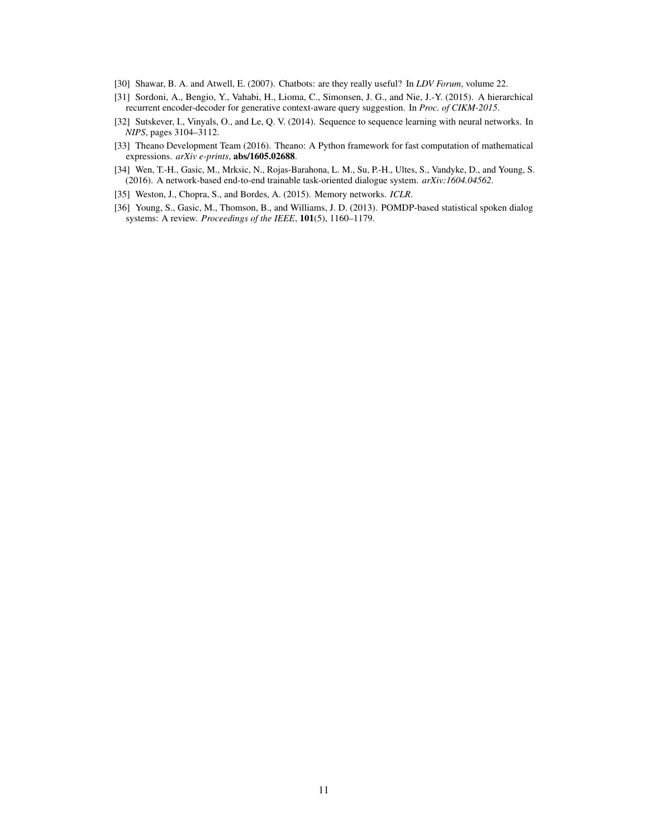- <span id="page-10-4"></span>[30] Shawar, B. A. and Atwell, E. (2007). Chatbots: are they really useful? In *LDV Forum*, volume 22.
- <span id="page-10-2"></span>[31] Sordoni, A., Bengio, Y., Vahabi, H., Lioma, C., Simonsen, J. G., and Nie, J.-Y. (2015). A hierarchical recurrent encoder-decoder for generative context-aware query suggestion. In *Proc. of CIKM-2015*.
- <span id="page-10-0"></span>[32] Sutskever, I., Vinyals, O., and Le, Q. V. (2014). Sequence to sequence learning with neural networks. In *NIPS*, pages 3104–3112.
- <span id="page-10-5"></span>[33] Theano Development Team (2016). Theano: A Python framework for fast computation of mathematical expressions. *arXiv e-prints*, abs/1605.02688.
- <span id="page-10-6"></span>[34] Wen, T.-H., Gasic, M., Mrksic, N., Rojas-Barahona, L. M., Su, P.-H., Ultes, S., Vandyke, D., and Young, S. (2016). A network-based end-to-end trainable task-oriented dialogue system. *arXiv:1604.04562*.
- <span id="page-10-1"></span>[35] Weston, J., Chopra, S., and Bordes, A. (2015). Memory networks. *ICLR*.
- <span id="page-10-3"></span>[36] Young, S., Gasic, M., Thomson, B., and Williams, J. D. (2013). POMDP-based statistical spoken dialog systems: A review. *Proceedings of the IEEE*, 101(5), 1160–1179.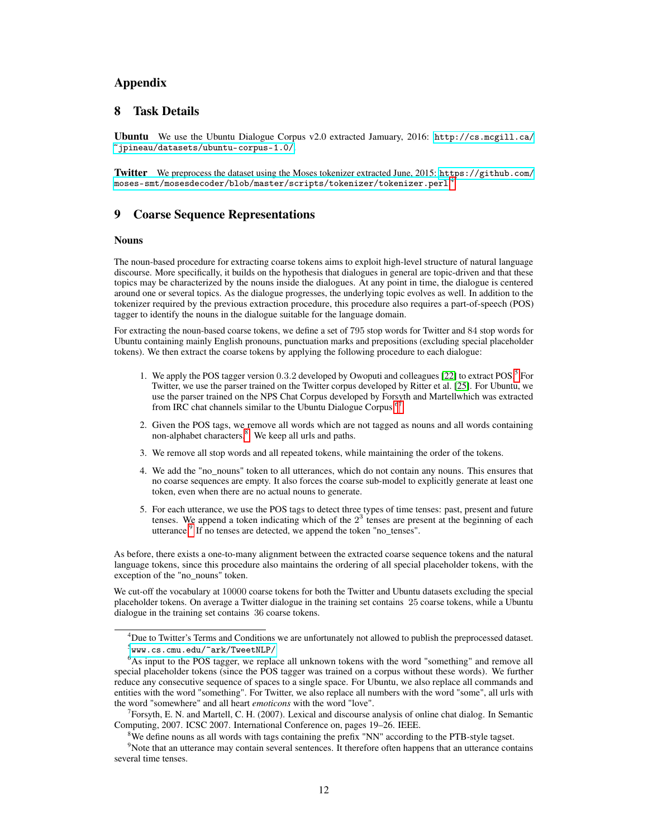# Appendix

### <span id="page-11-0"></span>8 Task Details

Ubuntu We use the Ubuntu Dialogue Corpus v2.0 extracted Jamuary, 2016: [http://cs.mcgill.ca/](http://cs.mcgill.ca/~jpineau/datasets/ubuntu-corpus-1.0/) [~jpineau/datasets/ubuntu-corpus-1.0/](http://cs.mcgill.ca/~jpineau/datasets/ubuntu-corpus-1.0/).

Twitter We preprocess the dataset using the Moses tokenizer extracted June, 2015: [https://github.com/](https://github.com/moses-smt/mosesdecoder/blob/master/scripts/tokenizer/tokenizer.perl) [moses-smt/mosesdecoder/blob/master/scripts/tokenizer/tokenizer.perl](https://github.com/moses-smt/mosesdecoder/blob/master/scripts/tokenizer/tokenizer.perl). [4](#page-11-2)

### <span id="page-11-1"></span>9 Coarse Sequence Representations

#### Nouns

The noun-based procedure for extracting coarse tokens aims to exploit high-level structure of natural language discourse. More specifically, it builds on the hypothesis that dialogues in general are topic-driven and that these topics may be characterized by the nouns inside the dialogues. At any point in time, the dialogue is centered around one or several topics. As the dialogue progresses, the underlying topic evolves as well. In addition to the tokenizer required by the previous extraction procedure, this procedure also requires a part-of-speech (POS) tagger to identify the nouns in the dialogue suitable for the language domain.

For extracting the noun-based coarse tokens, we define a set of 795 stop words for Twitter and 84 stop words for Ubuntu containing mainly English pronouns, punctuation marks and prepositions (excluding special placeholder tokens). We then extract the coarse tokens by applying the following procedure to each dialogue:

- 1. We apply the POS tagger version 0.3.2 developed by Owoputi and colleagues [\[22\]](#page-9-26) to extract POS.<sup>[5](#page-11-3)</sup> For Twitter, we use the parser trained on the Twitter corpus developed by Ritter et al. [\[25\]](#page-9-27). For Ubuntu, we use the parser trained on the NPS Chat Corpus developed by Forsyth and Martellwhich was extracted from IRC chat channels similar to the Ubuntu Dialogue Corpus.<sup>[6](#page-11-4)[7](#page-11-5)</sup>
- 2. Given the POS tags, we remove all words which are not tagged as nouns and all words containing non-alphabet characters.<sup>[8](#page-11-6)</sup>. We keep all urls and paths.
- 3. We remove all stop words and all repeated tokens, while maintaining the order of the tokens.
- 4. We add the "no\_nouns" token to all utterances, which do not contain any nouns. This ensures that no coarse sequences are empty. It also forces the coarse sub-model to explicitly generate at least one token, even when there are no actual nouns to generate.
- 5. For each utterance, we use the POS tags to detect three types of time tenses: past, present and future tenses. We append a token indicating which of the  $2<sup>3</sup>$  tenses are present at the beginning of each utterance.<sup>[9](#page-11-7)</sup> If no tenses are detected, we append the token "no\_tenses".

As before, there exists a one-to-many alignment between the extracted coarse sequence tokens and the natural language tokens, since this procedure also maintains the ordering of all special placeholder tokens, with the exception of the "no\_nouns" token.

We cut-off the vocabulary at 10000 coarse tokens for both the Twitter and Ubuntu datasets excluding the special placeholder tokens. On average a Twitter dialogue in the training set contains 25 coarse tokens, while a Ubuntu dialogue in the training set contains 36 coarse tokens.

<span id="page-11-3"></span><span id="page-11-2"></span><sup>&</sup>lt;sup>4</sup>Due to Twitter's Terms and Conditions we are unfortunately not allowed to publish the preprocessed dataset.  $^5$ <www.cs.cmu.edu/~ark/TweetNLP/>

<span id="page-11-4"></span><sup>&</sup>lt;sup>6</sup>As input to the POS tagger, we replace all unknown tokens with the word "something" and remove all special placeholder tokens (since the POS tagger was trained on a corpus without these words). We further reduce any consecutive sequence of spaces to a single space. For Ubuntu, we also replace all commands and entities with the word "something". For Twitter, we also replace all numbers with the word "some", all urls with the word "somewhere" and all heart *emoticons* with the word "love".

<span id="page-11-5"></span><sup>7</sup> Forsyth, E. N. and Martell, C. H. (2007). Lexical and discourse analysis of online chat dialog. In Semantic Computing, 2007. ICSC 2007. International Conference on, pages 19–26. IEEE.

<span id="page-11-7"></span><span id="page-11-6"></span><sup>&</sup>lt;sup>8</sup>We define nouns as all words with tags containing the prefix "NN" according to the PTB-style tagset.

<sup>&</sup>lt;sup>9</sup>Note that an utterance may contain several sentences. It therefore often happens that an utterance contains several time tenses.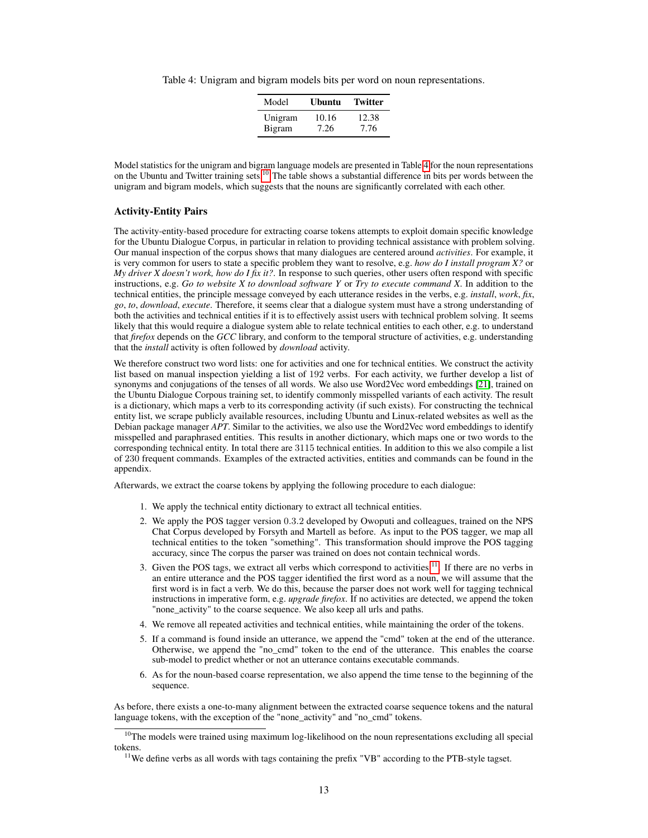<span id="page-12-0"></span>Table 4: Unigram and bigram models bits per word on noun representations.

| Model   | Ubuntu | <b>Twitter</b> |
|---------|--------|----------------|
| Unigram | 10.16  | 12.38          |
| Bigram  | 7.26   | 7.76           |

Model statistics for the unigram and bigram language models are presented in Table [4](#page-12-0) for the noun representations on the Ubuntu and Twitter training sets.<sup>[10](#page-12-1)</sup> The table shows a substantial difference in bits per words between the unigram and bigram models, which suggests that the nouns are significantly correlated with each other.

# Activity-Entity Pairs

The activity-entity-based procedure for extracting coarse tokens attempts to exploit domain specific knowledge for the Ubuntu Dialogue Corpus, in particular in relation to providing technical assistance with problem solving. Our manual inspection of the corpus shows that many dialogues are centered around *activities*. For example, it is very common for users to state a specific problem they want to resolve, e.g. *how do I install program X?* or *My driver X doesn't work, how do I fix it?*. In response to such queries, other users often respond with specific instructions, e.g. *Go to website X to download software Y* or *Try to execute command X*. In addition to the technical entities, the principle message conveyed by each utterance resides in the verbs, e.g. *install*, *work*, *fix*, *go*, *to*, *download*, *execute*. Therefore, it seems clear that a dialogue system must have a strong understanding of both the activities and technical entities if it is to effectively assist users with technical problem solving. It seems likely that this would require a dialogue system able to relate technical entities to each other, e.g. to understand that *firefox* depends on the *GCC* library, and conform to the temporal structure of activities, e.g. understanding that the *install* activity is often followed by *download* activity.

We therefore construct two word lists: one for activities and one for technical entities. We construct the activity list based on manual inspection yielding a list of 192 verbs. For each activity, we further develop a list of synonyms and conjugations of the tenses of all words. We also use Word2Vec word embeddings [\[21\]](#page-9-28), trained on the Ubuntu Dialogue Corpous training set, to identify commonly misspelled variants of each activity. The result is a dictionary, which maps a verb to its corresponding activity (if such exists). For constructing the technical entity list, we scrape publicly available resources, including Ubuntu and Linux-related websites as well as the Debian package manager *APT*. Similar to the activities, we also use the Word2Vec word embeddings to identify misspelled and paraphrased entities. This results in another dictionary, which maps one or two words to the corresponding technical entity. In total there are 3115 technical entities. In addition to this we also compile a list of 230 frequent commands. Examples of the extracted activities, entities and commands can be found in the appendix.

Afterwards, we extract the coarse tokens by applying the following procedure to each dialogue:

- 1. We apply the technical entity dictionary to extract all technical entities.
- 2. We apply the POS tagger version 0.3.2 developed by Owoputi and colleagues, trained on the NPS Chat Corpus developed by Forsyth and Martell as before. As input to the POS tagger, we map all technical entities to the token "something". This transformation should improve the POS tagging accuracy, since The corpus the parser was trained on does not contain technical words.
- 3. Given the POS tags, we extract all verbs which correspond to activities.<sup>[11](#page-12-2)</sup>. If there are no verbs in an entire utterance and the POS tagger identified the first word as a noun, we will assume that the first word is in fact a verb. We do this, because the parser does not work well for tagging technical instructions in imperative form, e.g. *upgrade firefox*. If no activities are detected, we append the token "none\_activity" to the coarse sequence. We also keep all urls and paths.
- 4. We remove all repeated activities and technical entities, while maintaining the order of the tokens.
- 5. If a command is found inside an utterance, we append the "cmd" token at the end of the utterance. Otherwise, we append the "no\_cmd" token to the end of the utterance. This enables the coarse sub-model to predict whether or not an utterance contains executable commands.
- 6. As for the noun-based coarse representation, we also append the time tense to the beginning of the sequence.

As before, there exists a one-to-many alignment between the extracted coarse sequence tokens and the natural language tokens, with the exception of the "none\_activity" and "no\_cmd" tokens.

<span id="page-12-1"></span> $10$ The models were trained using maximum log-likelihood on the noun representations excluding all special tokens.

<span id="page-12-2"></span><sup>&</sup>lt;sup>11</sup>We define verbs as all words with tags containing the prefix "VB" according to the PTB-style tagset.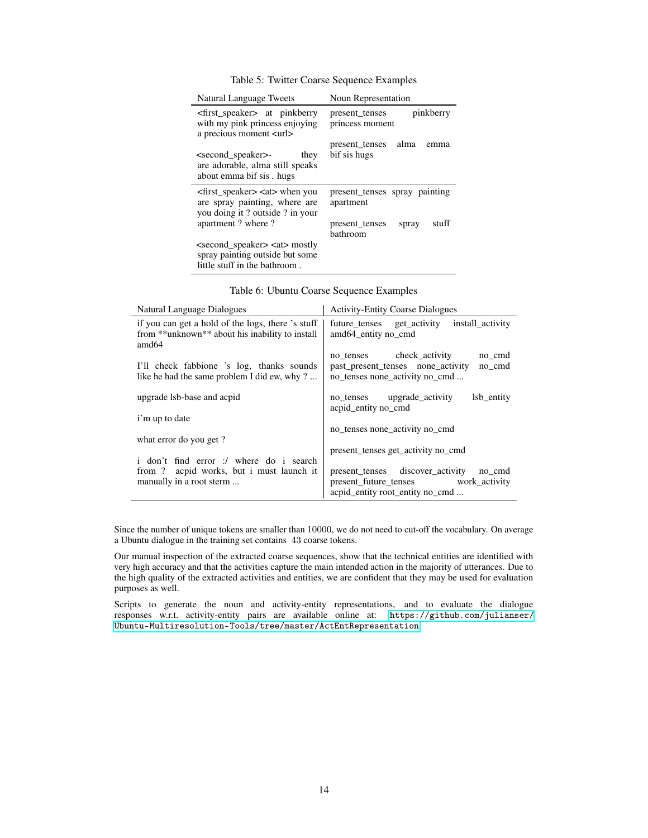|  | Table 5: Twitter Coarse Sequence Examples |
|--|-------------------------------------------|
|--|-------------------------------------------|

| Natural Language Tweets                                                                                           | Noun Representation                            |
|-------------------------------------------------------------------------------------------------------------------|------------------------------------------------|
| <first_speaker> at pinkberry<br/>with my pink princess enjoying<br/>a precious moment <url></url></first_speaker> | pinkberry<br>present_tenses<br>princess moment |
| <second_speaker>-<br/>they<br/>are adorable, alma still speaks<br/>about emma bif sis . hugs</second_speaker>     | present_tenses alma<br>emma<br>bif sis hugs    |
| $<$ first_speaker $>$ $<$ at $>$ when you<br>are spray painting, where are<br>you doing it? outside? in your      | present tenses spray painting<br>apartment     |
| apartment? where?                                                                                                 | stuff<br>present_tenses<br>spray<br>bathroom   |
| $\le$ second speaker $\le$ at $>$ mostly<br>spray painting outside but some<br>little stuff in the bathroom.      |                                                |

| Natural Language Dialogues                                                                                                | <b>Activity-Entity Coarse Dialogues</b>                                                                              |  |  |  |
|---------------------------------------------------------------------------------------------------------------------------|----------------------------------------------------------------------------------------------------------------------|--|--|--|
| if you can get a hold of the logs, there 's stuff<br>from **unknown** about his inability to install<br>amd <sub>64</sub> | future tenses get activity install activity<br>amd <sub>64</sub> entity no cmd                                       |  |  |  |
| I'll check fabbione 's log, thanks sounds<br>like he had the same problem I did ew, why ?                                 | no tenses check activity<br>no cmd<br>past_present_tenses none_activity<br>no cmd<br>no tenses none activity no cmd  |  |  |  |
| upgrade lsb-base and acpid                                                                                                | no_tenses upgrade_activity<br>lsb entity<br>acpid_entity no_cmd                                                      |  |  |  |
| i'm up to date<br>what error do you get?                                                                                  | no tenses none activity no cmd                                                                                       |  |  |  |
| i don't find error :/ where do i search                                                                                   | present tenses get activity no cmd                                                                                   |  |  |  |
| from ? acpid works, but i must launch it<br>manually in a root sterm                                                      | present tenses discover activity<br>no cmd<br>present future tenses work activity<br>acpid entity root entity no cmd |  |  |  |

Table 6: Ubuntu Coarse Sequence Examples

Since the number of unique tokens are smaller than 10000, we do not need to cut-off the vocabulary. On average a Ubuntu dialogue in the training set contains 43 coarse tokens.

Our manual inspection of the extracted coarse sequences, show that the technical entities are identified with very high accuracy and that the activities capture the main intended action in the majority of utterances. Due to the high quality of the extracted activities and entities, we are confident that they may be used for evaluation purposes as well.

Scripts to generate the noun and activity-entity representations, and to evaluate the dialogue responses w.r.t. activity-entity pairs are available online at: [https://github.com/julianser/](https://github.com/julianser/Ubuntu-Multiresolution-Tools/tree/master/ActEntRepresentation) [Ubuntu-Multiresolution-Tools/tree/master/ActEntRepresentation](https://github.com/julianser/Ubuntu-Multiresolution-Tools/tree/master/ActEntRepresentation).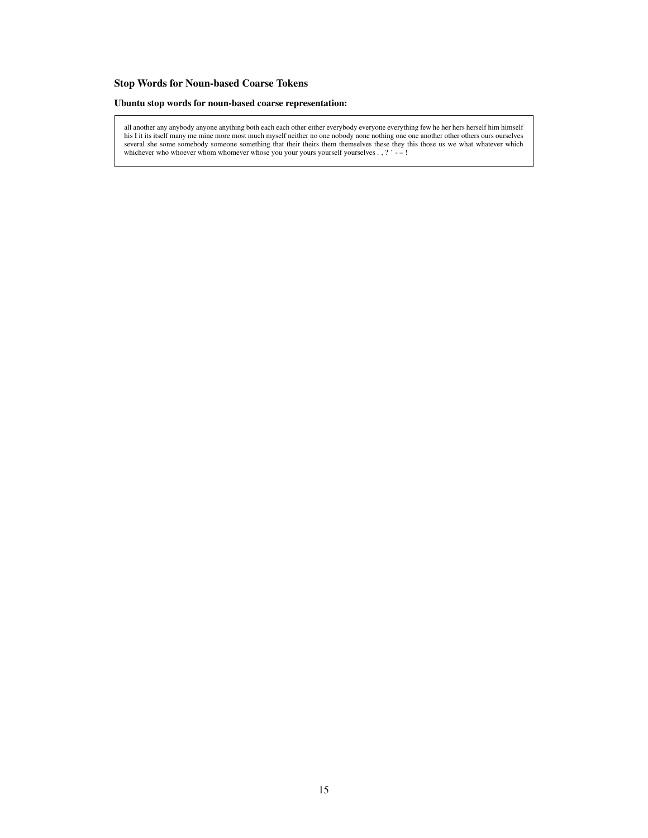### Stop Words for Noun-based Coarse Tokens

#### Ubuntu stop words for noun-based coarse representation:

all another any anybody anyone anything both each each other either everybody everyone everything few he her hers herself him himself<br>his I it its itself many me mine more most much myself neither no one nobody none nothin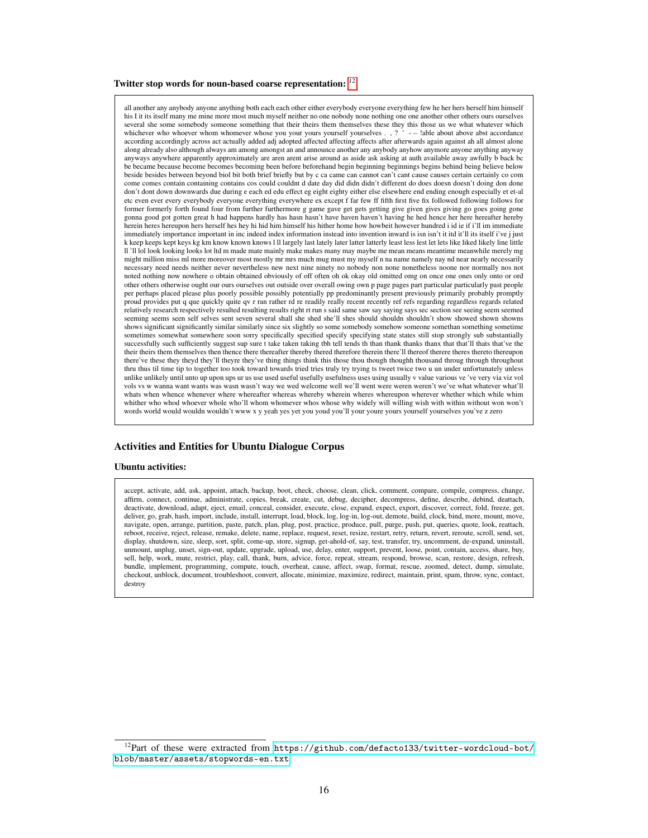#### Twitter stop words for noun-based coarse representation: <sup>[12](#page-15-0)</sup>

all another any anybody anyone anything both each each other either everybody everyone everything few he her hers herself him himself his I it its itself many me mine more most much myself neither no one nobody none nothing one one another other others ours ourselves several she some somebody someone something that their theirs them themselves these they this those us we what whatever which whichever who whoever whom whomever whose you your yours yourself yourselves . . ? ' - - lable a whichever who whoever whom whomever whose you your yours yourself yourselves . , ? according accordingly across act actually added adj adopted affected affecting affects after afterwards again against ah all almost alone along already also although always am among amongst an and announce another any anybody anyhow anymore anyone anything anyway anyways anywhere apparently approximately are aren arent arise around as aside ask asking at auth available away awfully b back bc be became because become becomes becoming been before beforehand begin beginning beginnings begins behind being believe below beside besides between beyond biol bit both brief briefly but by c ca came can cannot can't cant cause causes certain certainly co com come comes contain containing contains cos could couldnt d date day did didn didn't different do does doesn doesn't doing don done don't dont down downwards due during e each ed edu effect eg eight eighty either else elsewhere end ending enough especially et et-al etc even ever every everybody everyone everything everywhere ex except f far few ff fifth first five fix followed following follows for former formerly forth found four from further furthermore g game gave get gets getting give given gives giving go goes going gone gonna good got gotten great h had happens hardly has hasn hasn't have haven haven't having he hed hence her here hereafter hereby herein heres hereupon hers herself hes hey hi hid him himself his hither home how howbeit however hundred i id ie if i'll im immediate immediately importance important in inc indeed index information instead into invention inward is isn isn't it itd it'll its itself i've j just k keep keeps kept keys kg km know known knows l ll largely last lately later latter latterly least less lest let lets like liked likely line little ll 'll lol look looking looks lot ltd m made mate mainly make makes many may maybe me mean means meantime meanwhile merely mg might million miss ml more moreover most mostly mr mrs much mug must my myself n na name namely nay nd near nearly necessarily necessary need needs neither never nevertheless new next nine ninety no nobody non none nonetheless noone nor normally nos not noted nothing now nowhere o obtain obtained obviously of off often oh ok okay old omitted omg on once one ones only onto or ord other others otherwise ought our ours ourselves out outside over overall owing own p page pages part particular particularly past people per perhaps placed please plus poorly possible possibly potentially pp predominantly present previously primarily probably promptly proud provides put q que quickly quite qv r ran rather rd re readily really recent recently ref refs regarding regardless regards related relatively research respectively resulted resulting results right rt run s said same saw say saying says sec section see seeing seem seemed seeming seems seen self selves sent seven several shall she shed she'll shes should shouldn shouldn't show showed shown showns shows significant significantly similar similarly since six slightly so some somebody somehow someone somethan something sometime sometimes somewhat somewhere soon sorry specifically specified specify specifying state states still stop strongly sub substantially successfully such sufficiently suggest sup sure t take taken taking tbh tell tends th than thank thanks thanx that that'll thats that've the their theirs them themselves then thence there thereafter thereby thered therefore therein there'll thereof therere theres thereto thereupon there've these they theyd they'll theyre they've thing things think this those thou though thoughh thousand throug through throughout thru thus til time tip to together too took toward towards tried tries truly try trying ts tweet twice two u un under unfortunately unless unlike unlikely until unto up upon ups ur us use used useful usefully usefulness uses using usually v value various ve 've very via viz vol vols vs w wanna want wants was wasn wasn't way we wed welcome well we'll went were weren weren't we've what whatever what'll whats when whence whenever where whereafter whereas whereby wherein wheres whereupon wherever whether which while whim whither who whod whoever whole who'll whom whomever whos whose why widely will willing wish with within without won won't words world would wouldn wouldn't www x y yeah yes yet you youd you'll your youre yours yourself yourselves you've z zero

#### Activities and Entities for Ubuntu Dialogue Corpus

#### Ubuntu activities:

accept, activate, add, ask, appoint, attach, backup, boot, check, choose, clean, click, comment, compare, compile, compress, change, affirm, connect, continue, administrate, copies, break, create, cut, debug, decipher, decompress, define, describe, debind, deattach, deactivate, download, adapt, eject, email, conceal, consider, execute, close, expand, expect, export, discover, correct, fold, freeze, get, deliver, go, grab, hash, import, include, install, interrupt, load, block, log, log-in, log-out, demote, build, clock, bind, more, mount, move, navigate, open, arrange, partition, paste, patch, plan, plug, post, practice, produce, pull, purge, push, put, queries, quote, look, reattach, reboot, receive, reject, release, remake, delete, name, replace, request, reset, resize, restart, retry, return, revert, reroute, scroll, send, set, display, shutdown, size, sleep, sort, split, come-up, store, signup, get-ahold-of, say, test, transfer, try, uncomment, de-expand, uninstall, unmount, unplug, unset, sign-out, update, upgrade, upload, use, delay, enter, support, prevent, loose, point, contain, access, share, buy, sell, help, work, mute, restrict, play, call, thank, burn, advice, force, repeat, stream, respond, browse, scan, restore, design, refresh, bundle, implement, programming, compute, touch, overheat, cause, affect, swap, format, rescue, zoomed, detect, dump, simulate, checkout, unblock, document, troubleshoot, convert, allocate, minimize, maximize, redirect, maintain, print, spam, throw, sync, contact, destroy

<span id="page-15-0"></span> $^{12}$ Part of these were extracted from [https://github.com/defacto133/twitter-wordcloud-bot/](https://github.com/defacto133/twitter-wordcloud-bot/blob/master/assets/stopwords-en.txt) [blob/master/assets/stopwords-en.txt](https://github.com/defacto133/twitter-wordcloud-bot/blob/master/assets/stopwords-en.txt).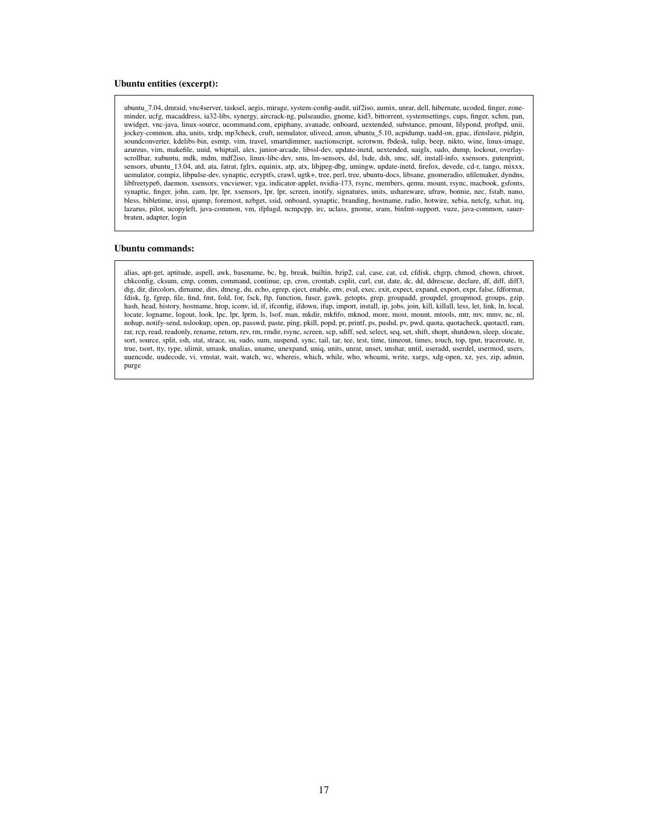#### Ubuntu entities (excerpt):

ubuntu\_7.04, dmraid, vnc4server, tasksel, aegis, mirage, system-config-audit, uif2iso, aumix, unrar, dell, hibernate, ucoded, finger, zoneminder, ucfg, macaddress, ia32-libs, synergy, aircrack-ng, pulseaudio, gnome, kid3, bittorrent, systemsettings, cups, finger, xchm, pan, uwidget, vnc-java, linux-source, ucommand.com, epiphany, avanade, onboard, uextended, substance, pmount, lilypond, proftpd, unii, jockey-common, aha, units, xrdp, mp3check, cruft, uemulator, ulivecd, amsn, ubuntu\_5.10, acpidump, uadd-on, gpac, ifenslave, pidgin, soundconverter, kdelibs-bin, esmtp, vim, travel, smartdimmer, uactionscript, scrotwm, fbdesk, tulip, beep, nikto, wine, linux-image, azureus, vim, makefile, uuid, whiptail, alex, junior-arcade, libssl-dev, update-inetd, uextended, uaiglx, sudo, dump, lockout, overlayscrollbar, xubuntu, mdk, mdm, mdf2iso, linux-libc-dev, sms, lm-sensors, dsl, lxde, dsh, smc, sdf, install-info, xsensors, gutenprint, sensors, ubuntu\_13.04, atd, ata, fatrat, fglrx, equinix, atp, atx, libjpeg-dbg, umingw, update-inetd, firefox, devede, cd-r, tango, mixxx, uemulator, compiz, libpulse-dev, synaptic, ecryptfs, crawl, ugtk+, tree, perl, tree, ubuntu-docs, libsane, gnomeradio, ufilemaker, dyndns, libfreetype6, daemon, xsensors, vncviewer, vga, indicator-applet, nvidia-173, rsync, members, qemu, mount, rsync, macbook, gsfonts, synaptic, finger, john, cam, lpr, lpr, xsensors, lpr, lpr, screen, inotify, signatures, units, ushareware, ufraw, bonnie, nec, fstab, nano, bless, bibletime, irssi, ujump, foremost, nzbget, ssid, onboard, synaptic, branding, hostname, radio, hotwire, xebia, netcfg, xchat, irq, lazarus, pilot, ucopyleft, java-common, vm, ifplugd, ncmpcpp, irc, uclass, gnome, sram, binfmt-support, vuze, java-common, sauerbraten, adapter, login

#### Ubuntu commands:

alias, apt-get, aptitude, aspell, awk, basename, bc, bg, break, builtin, bzip2, cal, case, cat, cd, cfdisk, chgrp, chmod, chown, chroot, chkconfig, cksum, cmp, comm, command, continue, cp, cron, crontab, csplit, curl, cut, date, dc, dd, ddrescue, declare, df, diff, diff3, dig, dir, dircolors, dirname, dirs, dmesg, du, echo, egrep, eject, enable, env, eval, exec, exit, expect, expand, export, expr, false, fdformat, fdisk, fg, fgrep, file, find, fmt, fold, for, fsck, ftp, function, fuser, gawk, getopts, grep, groupadd, groupdel, groupmod, groups, gzip, hash, head, history, hostname, htop, iconv, id, if, ifconfig, ifdown, ifup, import, install, ip, jobs, join, kill, killall, less, let, link, ln, local, locate, logname, logout, look, lpc, lpr, lprm, ls, lsof, man, mkdir, mkfifo, mknod, more, most, mount, mtools, mtr, mv, mmv, nc, nl, nohup, notify-send, nslookup, open, op, passwd, paste, ping, pkill, popd, pr, printf, ps, pushd, pv, pwd, quota, quotacheck, quotactl, ram, rar, rcp, read, readonly, rename, return, rev, rm, rmdir, rsync, screen, scp, sdiff, sed, select, seq, set, shift, shopt, shutdown, sleep, slocate, sort, source, split, ssh, stat, strace, su, sudo, sum, suspend, sync, tail, tar, tee, test, time, timeout, times, touch, top, tput, traceroute, tr, true, tsort, tty, type, ulimit, umask, unalias, uname, unexpand, uniq, units, unrar, unset, unshar, until, useradd, userdel, usermod, users, uuencode, uudecode, vi, vmstat, wait, watch, wc, whereis, which, while, who, whoami, write, xargs, xdg-open, xz, yes, zip, admin, purge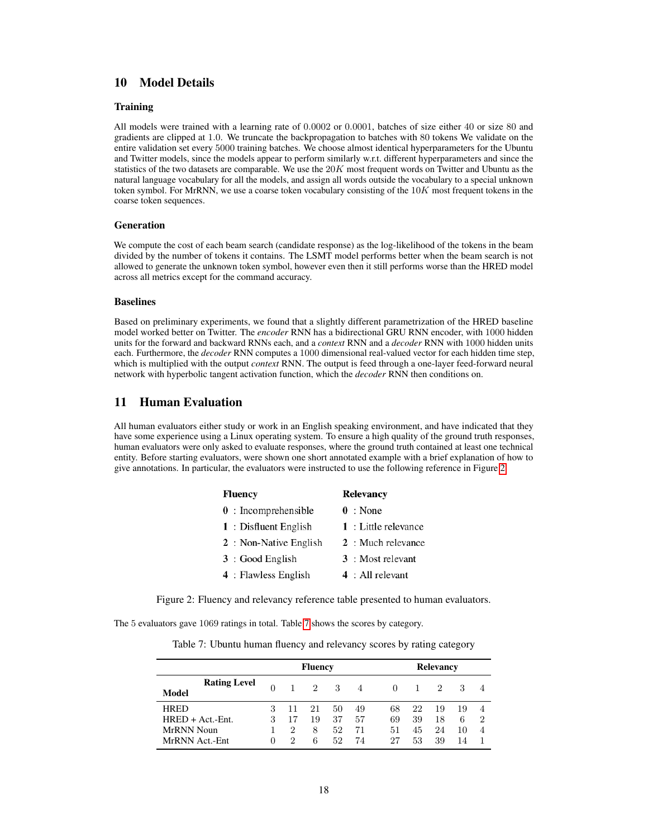# <span id="page-17-0"></span>10 Model Details

#### Training

All models were trained with a learning rate of 0.0002 or 0.0001, batches of size either 40 or size 80 and gradients are clipped at 1.0. We truncate the backpropagation to batches with 80 tokens We validate on the entire validation set every 5000 training batches. We choose almost identical hyperparameters for the Ubuntu and Twitter models, since the models appear to perform similarly w.r.t. different hyperparameters and since the statistics of the two datasets are comparable. We use the  $20K$  most frequent words on Twitter and Ubuntu as the natural language vocabulary for all the models, and assign all words outside the vocabulary to a special unknown token symbol. For MrRNN, we use a coarse token vocabulary consisting of the  $10K$  most frequent tokens in the coarse token sequences.

### **Generation**

We compute the cost of each beam search (candidate response) as the log-likelihood of the tokens in the beam divided by the number of tokens it contains. The LSMT model performs better when the beam search is not allowed to generate the unknown token symbol, however even then it still performs worse than the HRED model across all metrics except for the command accuracy.

#### **Baselines**

Based on preliminary experiments, we found that a slightly different parametrization of the HRED baseline model worked better on Twitter. The *encoder* RNN has a bidirectional GRU RNN encoder, with 1000 hidden units for the forward and backward RNNs each, and a *context* RNN and a *decoder* RNN with 1000 hidden units each. Furthermore, the *decoder* RNN computes a 1000 dimensional real-valued vector for each hidden time step, which is multiplied with the output *context* RNN. The output is feed through a one-layer feed-forward neural network with hyperbolic tangent activation function, which the *decoder* RNN then conditions on.

# <span id="page-17-1"></span>11 Human Evaluation

All human evaluators either study or work in an English speaking environment, and have indicated that they have some experience using a Linux operating system. To ensure a high quality of the ground truth responses, human evaluators were only asked to evaluate responses, where the ground truth contained at least one technical entity. Before starting evaluators, were shown one short annotated example with a brief explanation of how to give annotations. In particular, the evaluators were instructed to use the following reference in Figure [2.](#page-17-2)

| <b>Fluency</b>                  | Relevancy            |  |  |  |  |
|---------------------------------|----------------------|--|--|--|--|
| $\mathbf{0}$ : Incomprehensible | $0:$ None            |  |  |  |  |
| 1 : Disfluent English           | 1 : Little relevance |  |  |  |  |
| 2 : Non-Native English          | 2 : Much relevance   |  |  |  |  |
| 3 : Good English                | 3 : Most relevant    |  |  |  |  |
| 4 : Flawless English            | 4 : All relevant     |  |  |  |  |

<span id="page-17-2"></span>Figure 2: Fluency and relevancy reference table presented to human evaluators.

The 5 evaluators gave 1069 ratings in total. Table [7](#page-17-3) shows the scores by category.

<span id="page-17-3"></span>Table 7: Ubuntu human fluency and relevancy scores by rating category

|                                     | <b>Fluency</b> |        |             |          |          |          |          | Relevancy     |          |                |
|-------------------------------------|----------------|--------|-------------|----------|----------|----------|----------|---------------|----------|----------------|
| <b>Rating Level</b><br><b>Model</b> | ∩              |        | $2^{\circ}$ | 3        | 4        | $\theta$ |          | $\mathcal{D}$ | 3        |                |
| <b>HRED</b><br>$HRED + Act.-Ent.$   | 3              |        | 21<br>19    | 50<br>37 | 49<br>57 | 68<br>69 | 22<br>39 | 19<br>18      | 19<br>6  | 4<br>2         |
| MrRNN Noun<br>MrRNN Act.-Ent        | 0              | 2<br>2 | 8<br>6      | 52<br>52 | 71<br>74 | 51<br>27 | 45<br>53 | 24<br>39      | 10<br>14 | $\overline{A}$ |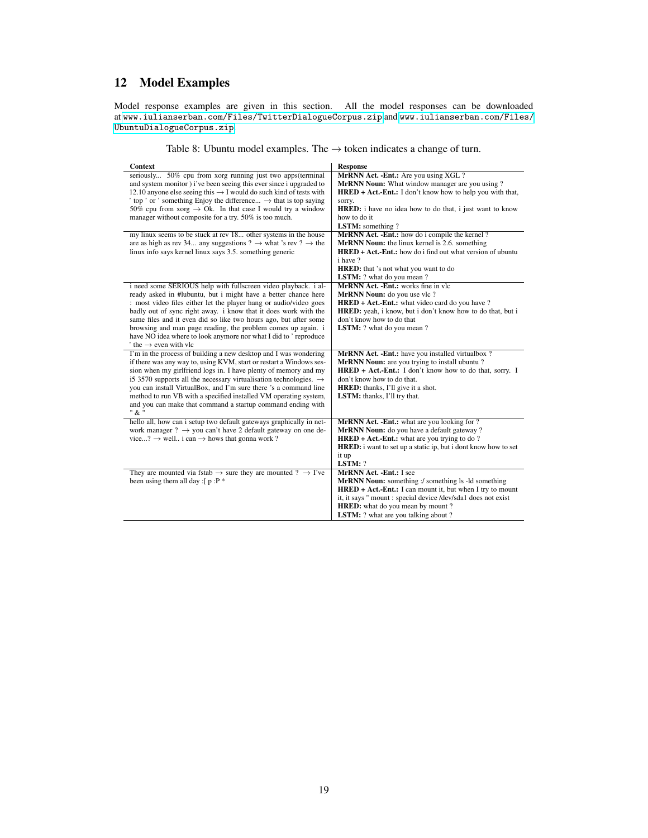# <span id="page-18-0"></span>12 Model Examples

Model response examples are given in this section. All the model responses can be downloaded at <www.iulianserban.com/Files/TwitterDialogueCorpus.zip> and [www.iulianserban.com/Files/](www.iulianserban.com/Files/UbuntuDialogueCorpus.zip) [UbuntuDialogueCorpus.zip](www.iulianserban.com/Files/UbuntuDialogueCorpus.zip).

Table 8: Ubuntu model examples. The  $\rightarrow$  token indicates a change of turn.

| <b>Context</b>                                                                        | <b>Response</b>                                                       |
|---------------------------------------------------------------------------------------|-----------------------------------------------------------------------|
| seriously 50% cpu from xorg running just two apps (terminal                           | MrRNN Act. - Ent.: Are you using XGL?                                 |
| and system monitor) i've been seeing this ever since i upgraded to                    | MrRNN Noun: What window manager are you using?                        |
| 12.10 anyone else seeing this $\rightarrow$ I would do such kind of tests with        | HRED + Act.-Ent.: I don't know how to help you with that,             |
| ' top ' or ' something Enjoy the difference $\rightarrow$ that is top saying          | sorry.                                                                |
| 50% cpu from xorg $\rightarrow$ Ok. In that case I would try a window                 | <b>HRED:</b> i have no idea how to do that, i just want to know       |
| manager without composite for a try. 50% is too much.                                 | how to do it                                                          |
|                                                                                       | <b>LSTM:</b> something ?                                              |
| my linux seems to be stuck at rev 18 other systems in the house                       | MrRNN Act. - Ent.: how do i compile the kernel?                       |
| are as high as rev 34 any suggestions ? $\rightarrow$ what 's rev ? $\rightarrow$ the | MrRNN Noun: the linux kernel is 2.6. something                        |
| linux info says kernel linux says 3.5. something generic                              | $HRED + Act.-Ent.:$ how do i find out what version of ubuntu          |
|                                                                                       | i have ?                                                              |
|                                                                                       | HRED: that 's not what you want to do                                 |
|                                                                                       | <b>LSTM:</b> ? what do you mean ?                                     |
| i need some SERIOUS help with fullscreen video playback. i al-                        | MrRNN Act. - Ent.: works fine in ylc.                                 |
| ready asked in #lubuntu, but i might have a better chance here                        | MrRNN Noun: do you use vlc?                                           |
| : most video files either let the player hang or audio/video goes                     | HRED + Act.-Ent.: what video card do you have?                        |
| badly out of sync right away, i know that it does work with the                       | HRED: yeah, i know, but i don't know how to do that, but i            |
| same files and it even did so like two hours ago, but after some                      | don't know how to do that                                             |
| browsing and man page reading, the problem comes up again. i                          | <b>LSTM:</b> ? what do you mean ?                                     |
| have NO idea where to look anymore nor what I did to ' reproduce                      |                                                                       |
| $'$ the $\rightarrow$ even with vlc                                                   |                                                                       |
| I'm in the process of building a new desktop and I was wondering                      | MrRNN Act. - Ent.: have you installed virtualbox?                     |
| if there was any way to, using KVM, start or restart a Windows ses-                   | <b>MrRNN Noun:</b> are you trying to install ubuntu?                  |
| sion when my girlfriend logs in. I have plenty of memory and my                       | HRED + Act.-Ent.: I don't know how to do that, sorry. I               |
| i5 3570 supports all the necessary virtualisation technologies. $\rightarrow$         | don't know how to do that.                                            |
| you can install VirtualBox, and I'm sure there 's a command line                      | <b>HRED:</b> thanks, I'll give it a shot.                             |
| method to run VB with a specified installed VM operating system,                      | LSTM: thanks, I'll try that.                                          |
| and you can make that command a startup command ending with                           |                                                                       |
| " & "                                                                                 |                                                                       |
| hello all, how can i setup two default gateways graphically in net-                   | <b>MrRNN Act. - Ent.:</b> what are you looking for ?                  |
| work manager ? $\rightarrow$ you can't have 2 default gateway on one de-              | MrRNN Noun: do you have a default gateway?                            |
| vice? $\rightarrow$ well i can $\rightarrow$ hows that gonna work ?                   | <b>HRED + Act.-Ent.:</b> what are you trying to do?                   |
|                                                                                       | <b>HRED:</b> i want to set up a static ip, but i dont know how to set |
|                                                                                       | it up                                                                 |
|                                                                                       | LSTM: ?                                                               |
| They are mounted via fstab $\rightarrow$ sure they are mounted ? $\rightarrow$ I've   | MrRNN Act. - Ent.: I see                                              |
| been using them all day : $[p : P^*]$                                                 | MrRNN Noun: something :/ something ls -1d something                   |
|                                                                                       | <b>HRED + Act.-Ent.:</b> I can mount it, but when I try to mount      |
|                                                                                       | it, it says " mount : special device /dev/sda1 does not exist         |
|                                                                                       | HRED: what do you mean by mount?                                      |
|                                                                                       | <b>LSTM:</b> ? what are you talking about ?                           |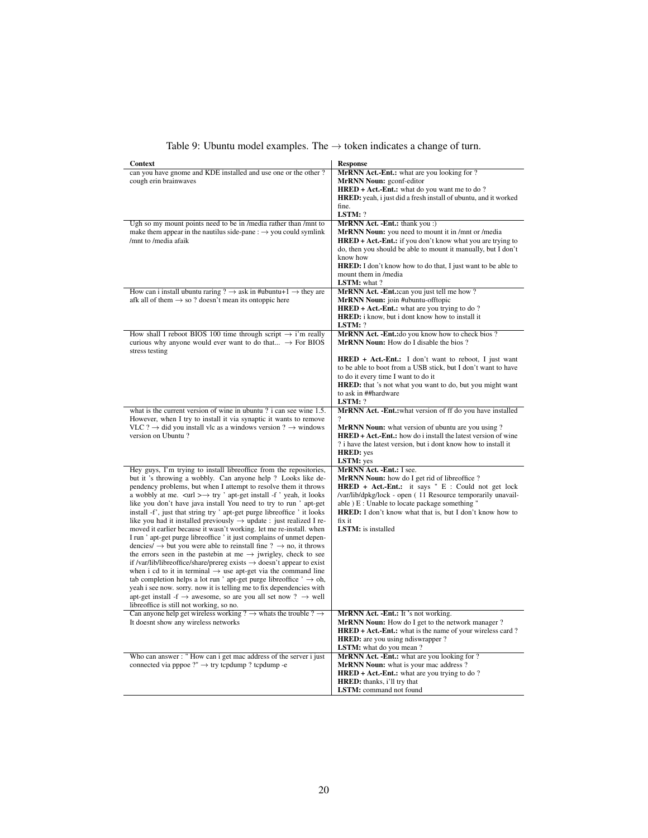| Context                                                                                                                                                   | <b>Response</b>                                                      |
|-----------------------------------------------------------------------------------------------------------------------------------------------------------|----------------------------------------------------------------------|
| can you have gnome and KDE installed and use one or the other?                                                                                            | <b>MrRNN Act.-Ent.:</b> what are you looking for?                    |
| cough erin brainwaves                                                                                                                                     | MrRNN Noun: gconf-editor                                             |
|                                                                                                                                                           | HRED + Act.-Ent.: what do you want me to do?                         |
|                                                                                                                                                           | HRED: yeah, i just did a fresh install of ubuntu, and it worked      |
|                                                                                                                                                           | fine.                                                                |
|                                                                                                                                                           | LSTM: ?                                                              |
| Ugh so my mount points need to be in /media rather than /mnt to                                                                                           | MrRNN Act. - Ent.: thank you :)                                      |
| make them appear in the nautilus side-pane : $\rightarrow$ you could symlink                                                                              | MrRNN Noun: you need to mount it in /mnt or /media                   |
| /mnt to /media afaik                                                                                                                                      | <b>HRED + Act.-Ent.:</b> if you don't know what you are trying to    |
|                                                                                                                                                           | do, then you should be able to mount it manually, but I don't        |
|                                                                                                                                                           | know how                                                             |
|                                                                                                                                                           | <b>HRED:</b> I don't know how to do that, I just want to be able to  |
|                                                                                                                                                           | mount them in /media                                                 |
|                                                                                                                                                           | LSTM: what?                                                          |
| How can i install ubuntu raring ? $\rightarrow$ ask in #ubuntu+1 $\rightarrow$ they are                                                                   | MrRNN Act. - Ent.: can you just tell me how?                         |
| afk all of them $\rightarrow$ so ? doesn't mean its ontoppic here                                                                                         | MrRNN Noun: join #ubuntu-offtopic                                    |
|                                                                                                                                                           | <b>HRED + Act.-Ent.:</b> what are you trying to do?                  |
|                                                                                                                                                           | HRED: i know, but i dont know how to install it                      |
|                                                                                                                                                           | LSTM: ?                                                              |
| How shall I reboot BIOS 100 time through script $\rightarrow$ i'm really                                                                                  | MrRNN Act. - Ent.: do you know how to check bios?                    |
| curious why anyone would ever want to do that $\rightarrow$ For BIOS                                                                                      | MrRNN Noun: How do I disable the bios?                               |
| stress testing                                                                                                                                            |                                                                      |
|                                                                                                                                                           | <b>HRED</b> + Act.-Ent.: I don't want to reboot, I just want         |
|                                                                                                                                                           | to be able to boot from a USB stick, but I don't want to have        |
|                                                                                                                                                           | to do it every time I want to do it                                  |
|                                                                                                                                                           | HRED: that 's not what you want to do, but you might want            |
|                                                                                                                                                           | to ask in ##hardware                                                 |
|                                                                                                                                                           | LSTM: ?                                                              |
| what is the current version of wine in ubuntu? i can see wine $1.5$ .                                                                                     |                                                                      |
|                                                                                                                                                           | MrRNN Act. - Ent.: what version of ff do you have installed          |
| However, when I try to install it via synaptic it wants to remove<br>VLC ? $\rightarrow$ did you install vlc as a windows version ? $\rightarrow$ windows |                                                                      |
| version on Ubuntu?                                                                                                                                        | <b>MrRNN Noun:</b> what version of ubuntu are you using?             |
|                                                                                                                                                           | <b>HRED + Act.-Ent.:</b> how do i install the latest version of wine |
|                                                                                                                                                           | ? i have the latest version, but i dont know how to install it       |
|                                                                                                                                                           | <b>HRED:</b> yes                                                     |
|                                                                                                                                                           | LSTM: yes                                                            |
| Hey guys, I'm trying to install libreoffice from the repositories,                                                                                        | MrRNN Act. - Ent.: I see.                                            |
| but it 's throwing a wobbly. Can anyone help ? Looks like de-                                                                                             | MrRNN Noun: how do I get rid of libreoffice ?                        |
| pendency problems, but when I attempt to resolve them it throws                                                                                           | HRED + Act.-Ent.: it says " E : Could not get lock                   |
| a wobbly at me. $\langle \text{url} \rangle \rightarrow \text{try}$ apt-get install -f ' yeah, it looks                                                   | /var/lib/dpkg/lock - open (11 Resource temporarily unavail-          |
| like you don't have java install You need to try to run ' apt-get                                                                                         | able ) E : Unable to locate package something "                      |
| install -f', just that string try ' apt-get purge libreoffice ' it looks                                                                                  | HRED: I don't know what that is, but I don't know how to             |
| like you had it installed previously $\rightarrow$ update : just realized I re-                                                                           | fix it                                                               |
| moved it earlier because it wasn't working. let me re-install. when                                                                                       | <b>LSTM</b> : is installed                                           |
| I run ' apt-get purge libreoffice ' it just complains of unmet depen-                                                                                     |                                                                      |
| dencies/ $\rightarrow$ but you were able to reinstall fine ? $\rightarrow$ no, it throws                                                                  |                                                                      |
| the errors seen in the pastebin at me $\rightarrow$ jwrigley, check to see                                                                                |                                                                      |
| if /var/lib/libreoffice/share/prereg exists $\rightarrow$ doesn't appear to exist                                                                         |                                                                      |
| when i cd to it in terminal $\rightarrow$ use apt-get via the command line                                                                                |                                                                      |
| tab completion helps a lot run ' apt-get purge libreoffice ' $\rightarrow$ oh,                                                                            |                                                                      |
| yeah i see now. sorry. now it is telling me to fix dependencies with                                                                                      |                                                                      |
| apt-get install -f $\rightarrow$ awesome, so are you all set now ? $\rightarrow$ well                                                                     |                                                                      |
| libreoffice is still not working, so no.                                                                                                                  |                                                                      |
| Can anyone help get wireless working ? $\rightarrow$ whats the trouble ? $\rightarrow$                                                                    | MrRNN Act. - Ent.: It 's not working.                                |
| It doesnt show any wireless networks                                                                                                                      | MrRNN Noun: How do I get to the network manager?                     |
|                                                                                                                                                           | HRED + Act.-Ent.: what is the name of your wireless card?            |
|                                                                                                                                                           | <b>HRED:</b> are you using ndiswrapper?                              |
|                                                                                                                                                           | LSTM: what do you mean?                                              |
| Who can answer: "How can i get mac address of the server i just                                                                                           | MrRNN Act. - Ent.: what are you looking for ?                        |
| connected via pppoe ?" $\rightarrow$ try tcpdump ? tcpdump -e                                                                                             | MrRNN Noun: what is your mac address?                                |
|                                                                                                                                                           | <b>HRED + Act.-Ent.:</b> what are you trying to do?                  |
|                                                                                                                                                           | HRED: thanks, i'll try that                                          |
|                                                                                                                                                           | LSTM: command not found                                              |
|                                                                                                                                                           |                                                                      |

# Table 9: Ubuntu model examples. The  $\rightarrow$  token indicates a change of turn.